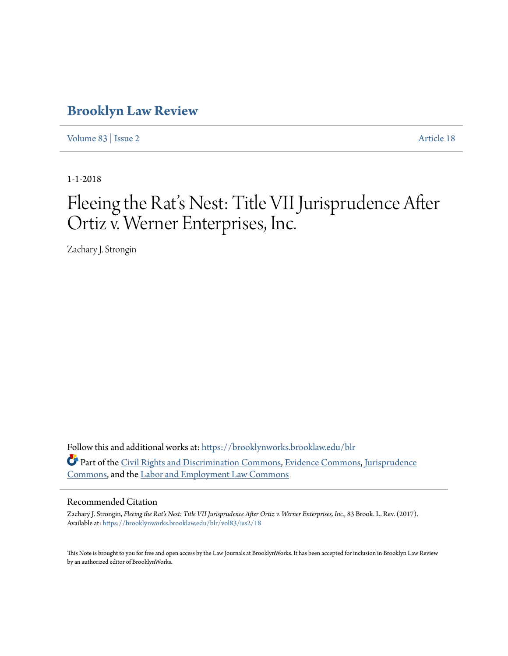# **[Brooklyn Law Review](https://brooklynworks.brooklaw.edu/blr?utm_source=brooklynworks.brooklaw.edu%2Fblr%2Fvol83%2Fiss2%2F18&utm_medium=PDF&utm_campaign=PDFCoverPages)**

[Volume 83](https://brooklynworks.brooklaw.edu/blr/vol83?utm_source=brooklynworks.brooklaw.edu%2Fblr%2Fvol83%2Fiss2%2F18&utm_medium=PDF&utm_campaign=PDFCoverPages) | [Issue 2](https://brooklynworks.brooklaw.edu/blr/vol83/iss2?utm_source=brooklynworks.brooklaw.edu%2Fblr%2Fvol83%2Fiss2%2F18&utm_medium=PDF&utm_campaign=PDFCoverPages) [Article 18](https://brooklynworks.brooklaw.edu/blr/vol83/iss2/18?utm_source=brooklynworks.brooklaw.edu%2Fblr%2Fvol83%2Fiss2%2F18&utm_medium=PDF&utm_campaign=PDFCoverPages)

1-1-2018

# Fleeing the Rat's Nest: Title VII Jurisprudence After Ortiz v. Werner Enterprises, Inc.

Zachary J. Strongin

Follow this and additional works at: [https://brooklynworks.brooklaw.edu/blr](https://brooklynworks.brooklaw.edu/blr?utm_source=brooklynworks.brooklaw.edu%2Fblr%2Fvol83%2Fiss2%2F18&utm_medium=PDF&utm_campaign=PDFCoverPages) Part of the [Civil Rights and Discrimination Commons,](http://network.bepress.com/hgg/discipline/585?utm_source=brooklynworks.brooklaw.edu%2Fblr%2Fvol83%2Fiss2%2F18&utm_medium=PDF&utm_campaign=PDFCoverPages) [Evidence Commons,](http://network.bepress.com/hgg/discipline/601?utm_source=brooklynworks.brooklaw.edu%2Fblr%2Fvol83%2Fiss2%2F18&utm_medium=PDF&utm_campaign=PDFCoverPages) [Jurisprudence](http://network.bepress.com/hgg/discipline/610?utm_source=brooklynworks.brooklaw.edu%2Fblr%2Fvol83%2Fiss2%2F18&utm_medium=PDF&utm_campaign=PDFCoverPages) [Commons,](http://network.bepress.com/hgg/discipline/610?utm_source=brooklynworks.brooklaw.edu%2Fblr%2Fvol83%2Fiss2%2F18&utm_medium=PDF&utm_campaign=PDFCoverPages) and the [Labor and Employment Law Commons](http://network.bepress.com/hgg/discipline/909?utm_source=brooklynworks.brooklaw.edu%2Fblr%2Fvol83%2Fiss2%2F18&utm_medium=PDF&utm_campaign=PDFCoverPages)

#### Recommended Citation

Zachary J. Strongin, *Fleeing the Rat's Nest: Title VII Jurisprudence After Ortiz v. Werner Enterprises, Inc.*, 83 Brook. L. Rev. (2017). Available at: [https://brooklynworks.brooklaw.edu/blr/vol83/iss2/18](https://brooklynworks.brooklaw.edu/blr/vol83/iss2/18?utm_source=brooklynworks.brooklaw.edu%2Fblr%2Fvol83%2Fiss2%2F18&utm_medium=PDF&utm_campaign=PDFCoverPages)

This Note is brought to you for free and open access by the Law Journals at BrooklynWorks. It has been accepted for inclusion in Brooklyn Law Review by an authorized editor of BrooklynWorks.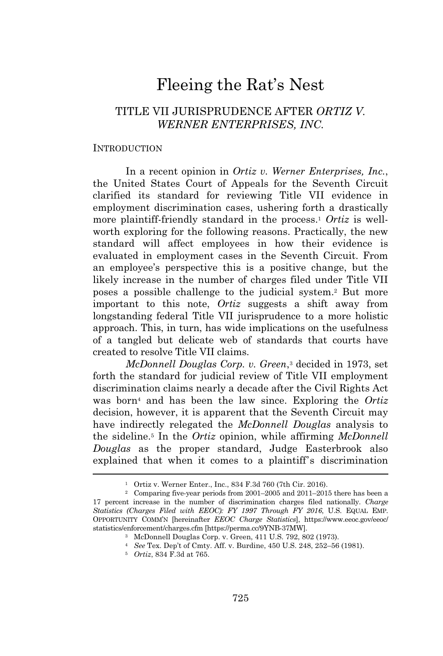# Fleeing the Rat's Nest

# TITLE VII JURISPRUDENCE AFTER *ORTIZ V. WERNER ENTERPRISES, INC.*

#### INTRODUCTION

In a recent opinion in *Ortiz v. Werner Enterprises, Inc.*, the United States Court of Appeals for the Seventh Circuit clarified its standard for reviewing Title VII evidence in employment discrimination cases, ushering forth a drastically more plaintiff-friendly standard in the process.<sup>1</sup> *Ortiz* is wellworth exploring for the following reasons. Practically, the new standard will affect employees in how their evidence is evaluated in employment cases in the Seventh Circuit. From an employee's perspective this is a positive change, but the likely increase in the number of charges filed under Title VII poses a possible challenge to the judicial system.<sup>2</sup> But more important to this note, *Ortiz* suggests a shift away from longstanding federal Title VII jurisprudence to a more holistic approach. This, in turn, has wide implications on the usefulness of a tangled but delicate web of standards that courts have created to resolve Title VII claims.

*McDonnell Douglas Corp. v. Green*, <sup>3</sup> decided in 1973, set forth the standard for judicial review of Title VII employment discrimination claims nearly a decade after the Civil Rights Act was born<sup>4</sup> and has been the law since. Exploring the *Ortiz* decision, however, it is apparent that the Seventh Circuit may have indirectly relegated the *McDonnell Douglas* analysis to the sideline.<sup>5</sup> In the *Ortiz* opinion, while affirming *McDonnell Douglas* as the proper standard, Judge Easterbrook also explained that when it comes to a plaintiff's discrimination

<sup>1</sup> Ortiz v. Werner Enter., Inc., 834 F.3d 760 (7th Cir. 2016).

<sup>2</sup> Comparing five-year periods from 2001–2005 and 2011–2015 there has been a 17 percent increase in the number of discrimination charges filed nationally. *Charge Statistics (Charges Filed with EEOC): FY 1997 Through FY 2016*, U.S. EQUAL EMP. OPPORTUNITY COMM'N [hereinafter *EEOC Charge Statistics*], https://www.eeoc.gov/eeoc/ statistics/enforcement/charges.cfm [https://perma.cc/9YNB-37MW].

<sup>3</sup> McDonnell Douglas Corp. v. Green, 411 U.S. 792, 802 (1973).

<sup>4</sup> *See* Tex. Dep't of Cmty. Aff. v. Burdine, 450 U.S. 248, 252–56 (1981).

<sup>5</sup> *Ortiz*, 834 F.3d at 765.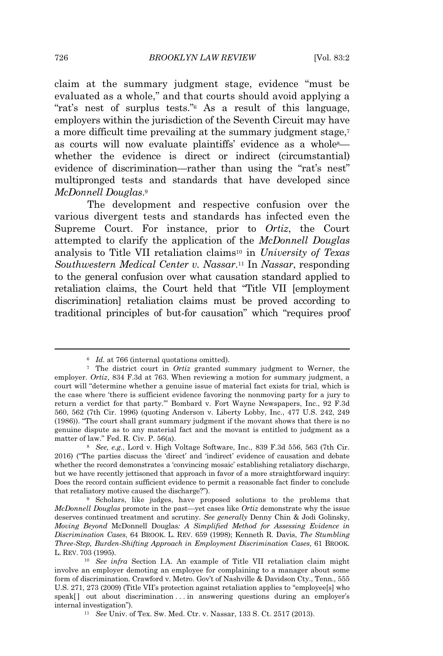claim at the summary judgment stage, evidence "must be evaluated as a whole," and that courts should avoid applying a "rat's nest of surplus tests."<sup>6</sup> As a result of this language, employers within the jurisdiction of the Seventh Circuit may have a more difficult time prevailing at the summary judgment stage,<sup>7</sup> as courts will now evaluate plaintiffs' evidence as a whole8 whether the evidence is direct or indirect (circumstantial) evidence of discrimination—rather than using the "rat's nest" multipronged tests and standards that have developed since *McDonnell Douglas*. 9

The development and respective confusion over the various divergent tests and standards has infected even the Supreme Court. For instance, prior to *Ortiz*, the Court attempted to clarify the application of the *McDonnell Douglas* analysis to Title VII retaliation claims<sup>10</sup> in *University of Texas Southwestern Medical Center v. Nassar*. <sup>11</sup> In *Nassar*, responding to the general confusion over what causation standard applied to retaliation claims, the Court held that "Title VII [employment discrimination] retaliation claims must be proved according to traditional principles of but-for causation" which "requires proof

<sup>&</sup>lt;sup>6</sup> *Id.* at 766 (internal quotations omitted).

<sup>7</sup> The district court in *Ortiz* granted summary judgment to Werner, the employer. *Ortiz*, 834 F.3d at 763. When reviewing a motion for summary judgment, a court will "determine whether a genuine issue of material fact exists for trial, which is the case where 'there is sufficient evidence favoring the nonmoving party for a jury to return a verdict for that party.'" Bombard v. Fort Wayne Newspapers, Inc., 92 F.3d 560, 562 (7th Cir. 1996) (quoting Anderson v. Liberty Lobby, Inc., 477 U.S. 242, 249 (1986)). "The court shall grant summary judgment if the movant shows that there is no genuine dispute as to any material fact and the movant is entitled to judgment as a matter of law." Fed. R. Civ. P. 56(a).

<sup>8</sup> *See, e.g.*, Lord v. High Voltage Software, Inc., 839 F.3d 556, 563 (7th Cir. 2016) ("The parties discuss the 'direct' and 'indirect' evidence of causation and debate whether the record demonstrates a 'convincing mosaic' establishing retaliatory discharge, but we have recently jettisoned that approach in favor of a more straightforward inquiry: Does the record contain sufficient evidence to permit a reasonable fact finder to conclude that retaliatory motive caused the discharge?").

<sup>9</sup> Scholars, like judges, have proposed solutions to the problems that *McDonnell Douglas* promote in the past—yet cases like *Ortiz* demonstrate why the issue deserves continued treatment and scrutiny. *See generally* Denny Chin & Jodi Golinsky, *Moving Beyond* McDonnell Douglas*: A Simplified Method for Assessing Evidence in Discrimination Cases*, 64 BROOK. L. REV. 659 (1998); Kenneth R. Davis, *The Stumbling Three-Step, Burden-Shifting Approach in Employment Discrimination Cases*, 61 BROOK. L. REV. 703 (1995).

<sup>10</sup> *See infra* Section I.A. An example of Title VII retaliation claim might involve an employer demoting an employee for complaining to a manager about some form of discrimination. Crawford v. Metro. Gov't of Nashville & Davidson Cty., Tenn., 555 U.S. 271, 273 (2009) (Title VII's protection against retaliation applies to "employee[s] who speak[] out about discrimination . . in answering questions during an employer's internal investigation").

<sup>11</sup> *See* Univ. of Tex. Sw. Med. Ctr. v. Nassar, 133 S. Ct. 2517 (2013).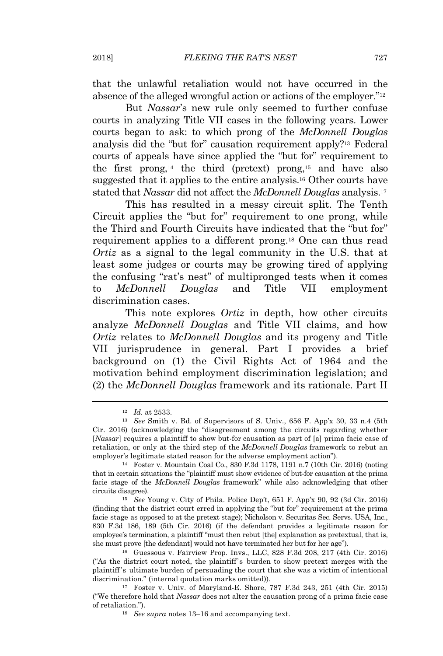that the unlawful retaliation would not have occurred in the absence of the alleged wrongful action or actions of the employer."<sup>12</sup>

But *Nassar*'s new rule only seemed to further confuse courts in analyzing Title VII cases in the following years. Lower courts began to ask: to which prong of the *McDonnell Douglas* analysis did the "but for" causation requirement apply?<sup>13</sup> Federal courts of appeals have since applied the "but for" requirement to the first prong,<sup>14</sup> the third (pretext) prong,<sup>15</sup> and have also suggested that it applies to the entire analysis.<sup>16</sup> Other courts have stated that *Nassar* did not affect the *McDonnell Douglas* analysis.<sup>17</sup>

This has resulted in a messy circuit split. The Tenth Circuit applies the "but for" requirement to one prong, while the Third and Fourth Circuits have indicated that the "but for" requirement applies to a different prong.<sup>18</sup> One can thus read *Ortiz* as a signal to the legal community in the U.S. that at least some judges or courts may be growing tired of applying the confusing "rat's nest" of multipronged tests when it comes to *McDonnell Douglas* and Title VII employment discrimination cases.

This note explores *Ortiz* in depth, how other circuits analyze *McDonnell Douglas* and Title VII claims, and how *Ortiz* relates to *McDonnell Douglas* and its progeny and Title VII jurisprudence in general. Part I provides a brief background on (1) the Civil Rights Act of 1964 and the motivation behind employment discrimination legislation; and (2) the *McDonnell Douglas* framework and its rationale. Part II

<sup>12</sup> *Id.* at 2533.

<sup>13</sup> *See* Smith v. Bd. of Supervisors of S. Univ., 656 F. App'x 30, 33 n.4 (5th Cir. 2016) (acknowledging the "disagreement among the circuits regarding whether [*Nassar*] requires a plaintiff to show but-for causation as part of [a] prima facie case of retaliation, or only at the third step of the *McDonnell Douglas* framework to rebut an employer's legitimate stated reason for the adverse employment action").

<sup>14</sup> Foster v. Mountain Coal Co., 830 F.3d 1178, 1191 n.7 (10th Cir. 2016) (noting that in certain situations the "plaintiff must show evidence of but-for causation at the prima facie stage of the *McDonnell Douglas* framework" while also acknowledging that other circuits disagree).

<sup>15</sup> *See* Young v. City of Phila. Police Dep't, 651 F. App'x 90, 92 (3d Cir. 2016) (finding that the district court erred in applying the "but for" requirement at the prima facie stage as opposed to at the pretext stage); Nicholson v. Securitas Sec. Servs. USA, Inc., 830 F.3d 186, 189 (5th Cir. 2016) (if the defendant provides a legitimate reason for employee's termination, a plaintiff "must then rebut [the] explanation as pretextual, that is, she must prove [the defendant] would not have terminated her but for her age").

<sup>16</sup> Guessous v. Fairview Prop. Invs., LLC, 828 F.3d 208, 217 (4th Cir. 2016) ("As the district court noted, the plaintiff's burden to show pretext merges with the plaintiff 's ultimate burden of persuading the court that she was a victim of intentional discrimination." (internal quotation marks omitted)).

<sup>17</sup> Foster v. Univ. of Maryland-E. Shore, 787 F.3d 243, 251 (4th Cir. 2015) ("We therefore hold that *Nassar* does not alter the causation prong of a prima facie case of retaliation.").

<sup>18</sup> *See supra* notes 13–16 and accompanying text.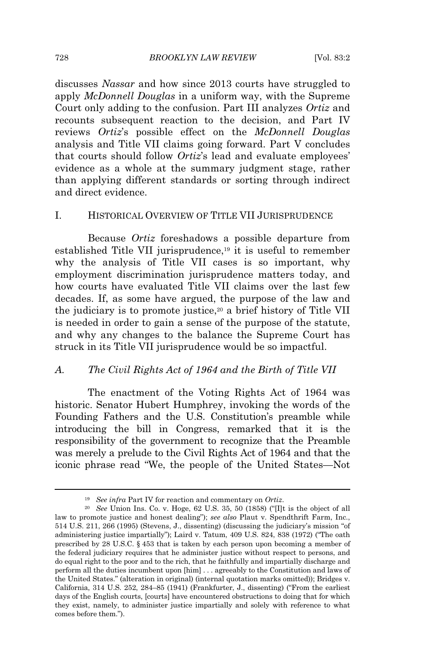discusses *Nassar* and how since 2013 courts have struggled to apply *McDonnell Douglas* in a uniform way, with the Supreme Court only adding to the confusion. Part III analyzes *Ortiz* and recounts subsequent reaction to the decision, and Part IV reviews *Ortiz*'s possible effect on the *McDonnell Douglas* analysis and Title VII claims going forward. Part V concludes that courts should follow *Ortiz*'s lead and evaluate employees' evidence as a whole at the summary judgment stage, rather than applying different standards or sorting through indirect and direct evidence.

## I. HISTORICAL OVERVIEW OF TITLE VII JURISPRUDENCE

Because *Ortiz* foreshadows a possible departure from established Title VII jurisprudence,<sup>19</sup> it is useful to remember why the analysis of Title VII cases is so important, why employment discrimination jurisprudence matters today, and how courts have evaluated Title VII claims over the last few decades. If, as some have argued, the purpose of the law and the judiciary is to promote justice,<sup>20</sup> a brief history of Title VII is needed in order to gain a sense of the purpose of the statute, and why any changes to the balance the Supreme Court has struck in its Title VII jurisprudence would be so impactful.

#### *A. The Civil Rights Act of 1964 and the Birth of Title VII*

The enactment of the Voting Rights Act of 1964 was historic. Senator Hubert Humphrey, invoking the words of the Founding Fathers and the U.S. Constitution's preamble while introducing the bill in Congress, remarked that it is the responsibility of the government to recognize that the Preamble was merely a prelude to the Civil Rights Act of 1964 and that the iconic phrase read "We, the people of the United States—Not

<sup>19</sup> *See infra* Part IV for reaction and commentary on *Ortiz*.

<sup>20</sup> *See* Union Ins. Co. v. Hoge, 62 U.S. 35, 50 (1858) ("[I]t is the object of all law to promote justice and honest dealing"); *see also* Plaut v. Spendthrift Farm, Inc., 514 U.S. 211, 266 (1995) (Stevens, J., dissenting) (discussing the judiciary's mission "of administering justice impartially"); Laird v. Tatum, 409 U.S. 824, 838 (1972) ("The oath prescribed by 28 U.S.C. § 453 that is taken by each person upon becoming a member of the federal judiciary requires that he administer justice without respect to persons, and do equal right to the poor and to the rich, that he faithfully and impartially discharge and perform all the duties incumbent upon [him] . . . agreeably to the Constitution and laws of the United States." (alteration in original) (internal quotation marks omitted)); Bridges v. California, 314 U.S. 252, 284–85 (1941) (Frankfurter, J., dissenting) ("From the earliest days of the English courts, [courts] have encountered obstructions to doing that for which they exist, namely, to administer justice impartially and solely with reference to what comes before them.").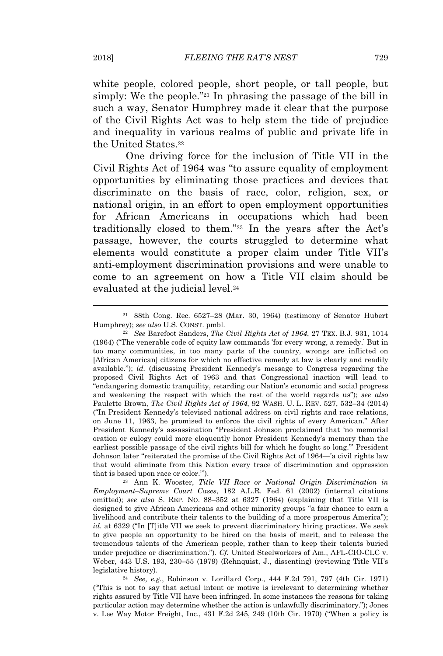white people, colored people, short people, or tall people, but simply: We the people."<sup>21</sup> In phrasing the passage of the bill in such a way, Senator Humphrey made it clear that the purpose of the Civil Rights Act was to help stem the tide of prejudice and inequality in various realms of public and private life in the United States.<sup>22</sup>

One driving force for the inclusion of Title VII in the Civil Rights Act of 1964 was "to assure equality of employment opportunities by eliminating those practices and devices that discriminate on the basis of race, color, religion, sex, or national origin, in an effort to open employment opportunities for African Americans in occupations which had been traditionally closed to them."<sup>23</sup> In the years after the Act's passage, however, the courts struggled to determine what elements would constitute a proper claim under Title VII's anti-employment discrimination provisions and were unable to come to an agreement on how a Title VII claim should be evaluated at the judicial level.<sup>24</sup>

<sup>21</sup> 88th Cong. Rec. 6527–28 (Mar. 30, 1964) (testimony of Senator Hubert Humphrey); *see also* U.S. CONST. pmbl.

<sup>22</sup> *See* Barefoot Sanders, *The Civil Rights Act of 1964*, 27 TEX. B.J. 931, 1014 (1964) ("The venerable code of equity law commands 'for every wrong, a remedy.' But in too many communities, in too many parts of the country, wrongs are inflicted on [African American] citizens for which no effective remedy at law is clearly and readily available."); *id.* (discussing President Kennedy's message to Congress regarding the proposed Civil Rights Act of 1963 and that Congressional inaction will lead to "endangering domestic tranquility, retarding our Nation's economic and social progress and weakening the respect with which the rest of the world regards us"); *see also* Paulette Brown, *The Civil Rights Act of 1964*, 92 WASH. U. L. REV. 527, 532–34 (2014) ("In President Kennedy's televised national address on civil rights and race relations, on June 11, 1963, he promised to enforce the civil rights of every American." After President Kennedy's assassination "President Johnson proclaimed that 'no memorial oration or eulogy could more eloquently honor President Kennedy's memory than the earliest possible passage of the civil rights bill for which he fought so long.'" President Johnson later "reiterated the promise of the Civil Rights Act of 1964—'a civil rights law that would eliminate from this Nation every trace of discrimination and oppression that is based upon race or color.'").

<sup>23</sup> Ann K. Wooster, *Title VII Race or National Origin Discrimination in Employment–Supreme Court Cases*, 182 A.L.R. Fed. 61 (2002) (internal citations omitted); *see also* S. REP. NO. 88–352 at 6327 (1964) (explaining that Title VII is designed to give African Americans and other minority groups "a fair chance to earn a livelihood and contribute their talents to the building of a more prosperous America"); *id.* at 6329 ("In [T]itle VII we seek to prevent discriminatory hiring practices. We seek to give people an opportunity to be hired on the basis of merit, and to release the tremendous talents of the American people, rather than to keep their talents buried under prejudice or discrimination."). *Cf.* United Steelworkers of Am., AFL-CIO-CLC v. Weber, 443 U.S. 193, 230–55 (1979) (Rehnquist, J., dissenting) (reviewing Title VII's legislative history).

<sup>24</sup> *See, e.g.*, Robinson v. Lorillard Corp., 444 F.2d 791, 797 (4th Cir. 1971) ("This is not to say that actual intent or motive is irrelevant to determining whether rights assured by Title VII have been infringed. In some instances the reasons for taking particular action may determine whether the action is unlawfully discriminatory."); Jones v. Lee Way Motor Freight, Inc., 431 F.2d 245, 249 (10th Cir. 1970) ("When a policy is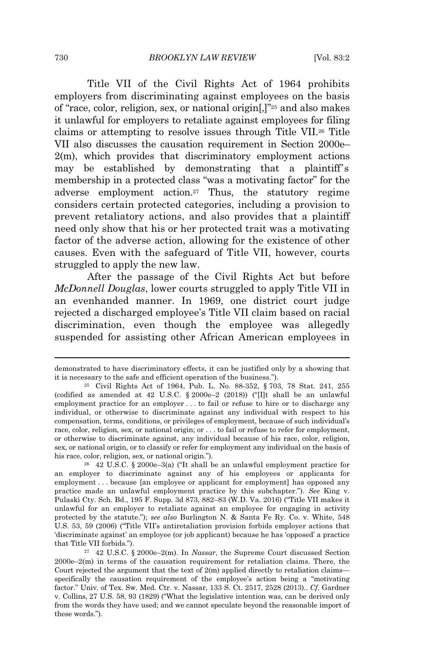Title VII of the Civil Rights Act of 1964 prohibits employers from discriminating against employees on the basis of "race, color, religion, sex, or national origin[,]"<sup>25</sup> and also makes it unlawful for employers to retaliate against employees for filing claims or attempting to resolve issues through Title VII.<sup>26</sup> Title VII also discusses the causation requirement in Section 2000e– 2(m), which provides that discriminatory employment actions may be established by demonstrating that a plaintiff's membership in a protected class "was a motivating factor" for the adverse employment action.<sup>27</sup> Thus, the statutory regime considers certain protected categories, including a provision to prevent retaliatory actions, and also provides that a plaintiff need only show that his or her protected trait was a motivating factor of the adverse action, allowing for the existence of other causes. Even with the safeguard of Title VII, however, courts struggled to apply the new law.

After the passage of the Civil Rights Act but before *McDonnell Douglas*, lower courts struggled to apply Title VII in an evenhanded manner. In 1969, one district court judge rejected a discharged employee's Title VII claim based on racial discrimination, even though the employee was allegedly suspended for assisting other African American employees in

demonstrated to have discriminatory effects, it can be justified only by a showing that it is necessary to the safe and efficient operation of the business.").

<sup>25</sup> Civil Rights Act of 1964, Pub. L. No. 88-352, § 703, 78 Stat. 241, 255 (codified as amended at 42 U.S.C. § 2000e-2 (2018)) (" $[1]t$  shall be an unlawful employment practice for an employer . . . to fail or refuse to hire or to discharge any individual, or otherwise to discriminate against any individual with respect to his compensation, terms, conditions, or privileges of employment, because of such individual's race, color, religion, sex, or national origin; or . . . to fail or refuse to refer for employment, or otherwise to discriminate against, any individual because of his race, color, religion, sex, or national origin, or to classify or refer for employment any individual on the basis of his race, color, religion, sex, or national origin.").

<sup>26</sup> 42 U.S.C. § 2000e–3(a) ("It shall be an unlawful employment practice for an employer to discriminate against any of his employees or applicants for employment . . . because [an employee or applicant for employment] has opposed any practice made an unlawful employment practice by this subchapter."). *See* King v. Pulaski Cty. Sch. Bd., 195 F. Supp. 3d 873, 882–83 (W.D. Va. 2016) ("Title VII makes it unlawful for an employer to retaliate against an employee for engaging in activity protected by the statute."); *see also* Burlington N. & Santa Fe Ry. Co. v. White, 548 U.S. 53, 59 (2006) ("Title VII's antiretaliation provision forbids employer actions that 'discriminate against' an employee (or job applicant) because he has 'opposed' a practice that Title VII forbids.").

<sup>27</sup> 42 U.S.C. § 2000e–2(m). In *Nassar*, the Supreme Court discussed Section 2000e–2(m) in terms of the causation requirement for retaliation claims. There, the Court rejected the argument that the text of 2(m) applied directly to retaliation claims specifically the causation requirement of the employee's action being a "motivating factor." Univ. of Tex. Sw. Med. Ctr. v. Nassar, 133 S. Ct. 2517, 2528 (2013).. *Cf.* Gardner v. Collins, 27 U.S. 58, 93 (1829) ("What the legislative intention was, can be derived only from the words they have used; and we cannot speculate beyond the reasonable import of these words.").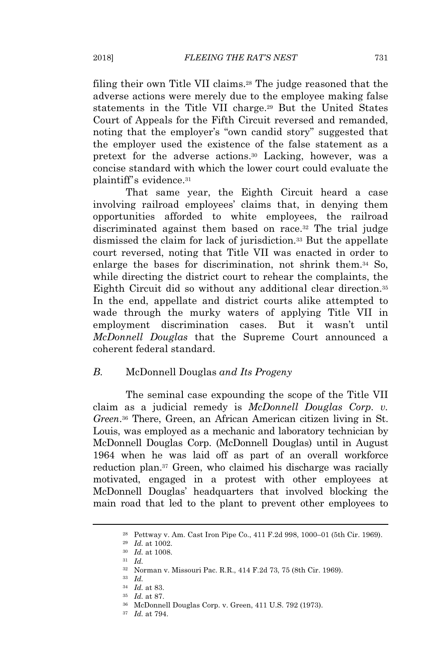filing their own Title VII claims.<sup>28</sup> The judge reasoned that the adverse actions were merely due to the employee making false statements in the Title VII charge.<sup>29</sup> But the United States Court of Appeals for the Fifth Circuit reversed and remanded, noting that the employer's "own candid story" suggested that the employer used the existence of the false statement as a pretext for the adverse actions.<sup>30</sup> Lacking, however, was a concise standard with which the lower court could evaluate the plaintiff's evidence.<sup>31</sup>

That same year, the Eighth Circuit heard a case involving railroad employees' claims that, in denying them opportunities afforded to white employees, the railroad discriminated against them based on race.<sup>32</sup> The trial judge dismissed the claim for lack of jurisdiction.<sup>33</sup> But the appellate court reversed, noting that Title VII was enacted in order to enlarge the bases for discrimination, not shrink them.<sup>34</sup> So, while directing the district court to rehear the complaints, the Eighth Circuit did so without any additional clear direction.<sup>35</sup> In the end, appellate and district courts alike attempted to wade through the murky waters of applying Title VII in employment discrimination cases. But it wasn't until *McDonnell Douglas* that the Supreme Court announced a coherent federal standard.

# *B.* McDonnell Douglas *and Its Progeny*

The seminal case expounding the scope of the Title VII claim as a judicial remedy is *McDonnell Douglas Corp. v. Green*. <sup>36</sup> There, Green, an African American citizen living in St. Louis, was employed as a mechanic and laboratory technician by McDonnell Douglas Corp. (McDonnell Douglas) until in August 1964 when he was laid off as part of an overall workforce reduction plan.<sup>37</sup> Green, who claimed his discharge was racially motivated, engaged in a protest with other employees at McDonnell Douglas' headquarters that involved blocking the main road that led to the plant to prevent other employees to

<sup>28</sup> Pettway v. Am. Cast Iron Pipe Co., 411 F.2d 998, 1000–01 (5th Cir. 1969).

<sup>29</sup> *Id.* at 1002.

<sup>30</sup> *Id.* at 1008.

<sup>31</sup> *Id.*

<sup>32</sup> Norman v. Missouri Pac. R.R., 414 F.2d 73, 75 (8th Cir. 1969).

<sup>33</sup> *Id.*

<sup>34</sup> *Id.* at 83.

<sup>35</sup> *Id.* at 87.

<sup>36</sup> McDonnell Douglas Corp. v. Green, 411 U.S. 792 (1973).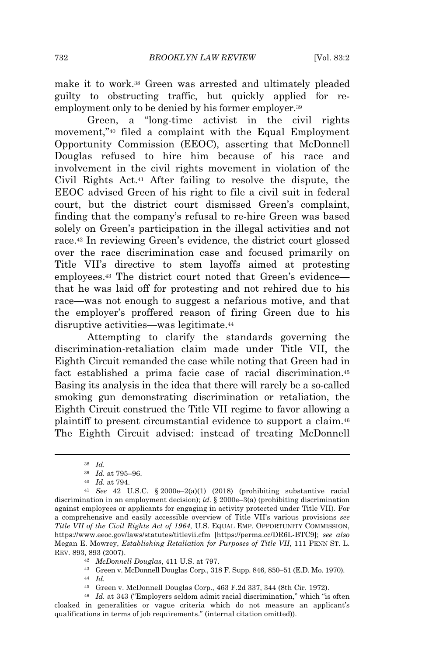make it to work.<sup>38</sup> Green was arrested and ultimately pleaded guilty to obstructing traffic, but quickly applied for reemployment only to be denied by his former employer.<sup>39</sup>

Green, a "long-time activist in the civil rights movement,"<sup>40</sup> filed a complaint with the Equal Employment Opportunity Commission (EEOC), asserting that McDonnell Douglas refused to hire him because of his race and involvement in the civil rights movement in violation of the Civil Rights Act.<sup>41</sup> After failing to resolve the dispute, the EEOC advised Green of his right to file a civil suit in federal court, but the district court dismissed Green's complaint, finding that the company's refusal to re-hire Green was based solely on Green's participation in the illegal activities and not race.<sup>42</sup> In reviewing Green's evidence, the district court glossed over the race discrimination case and focused primarily on Title VII's directive to stem layoffs aimed at protesting employees.<sup>43</sup> The district court noted that Green's evidence that he was laid off for protesting and not rehired due to his race—was not enough to suggest a nefarious motive, and that the employer's proffered reason of firing Green due to his disruptive activities—was legitimate.<sup>44</sup>

Attempting to clarify the standards governing the discrimination-retaliation claim made under Title VII, the Eighth Circuit remanded the case while noting that Green had in fact established a prima facie case of racial discrimination.<sup>45</sup> Basing its analysis in the idea that there will rarely be a so-called smoking gun demonstrating discrimination or retaliation, the Eighth Circuit construed the Title VII regime to favor allowing a plaintiff to present circumstantial evidence to support a claim.<sup>46</sup> The Eighth Circuit advised: instead of treating McDonnell

<sup>38</sup> *Id.*

<sup>39</sup> *Id.* at 795–96.

<sup>40</sup> *Id.* at 794.

<sup>41</sup> *See* 42 U.S.C. § 2000e–2(a)(1) (2018) (prohibiting substantive racial discrimination in an employment decision); *id.* § 2000e–3(a) (prohibiting discrimination against employees or applicants for engaging in activity protected under Title VII). For a comprehensive and easily accessible overview of Title VII's various provisions *see Title VII of the Civil Rights Act of 1964*, U.S. EQUAL EMP. OPPORTUNITY COMMISSION, https://www.eeoc.gov/laws/statutes/titlevii.cfm [https://perma.cc/DR6L-BTC9]; *see also* Megan E. Mowrey, *Establishing Retaliation for Purposes of Title VII*, 111 PENN ST. L. REV. 893, 893 (2007).

<sup>42</sup> *McDonnell Douglas*, 411 U.S. at 797.

<sup>43</sup> Green v. McDonnell Douglas Corp., 318 F. Supp. 846, 850–51 (E.D. Mo. 1970). <sup>44</sup> *Id.*

<sup>45</sup> Green v. McDonnell Douglas Corp., 463 F.2d 337, 344 (8th Cir. 1972).

<sup>46</sup> *Id.* at 343 ("Employers seldom admit racial discrimination," which "is often cloaked in generalities or vague criteria which do not measure an applicant's qualifications in terms of job requirements." (internal citation omitted)).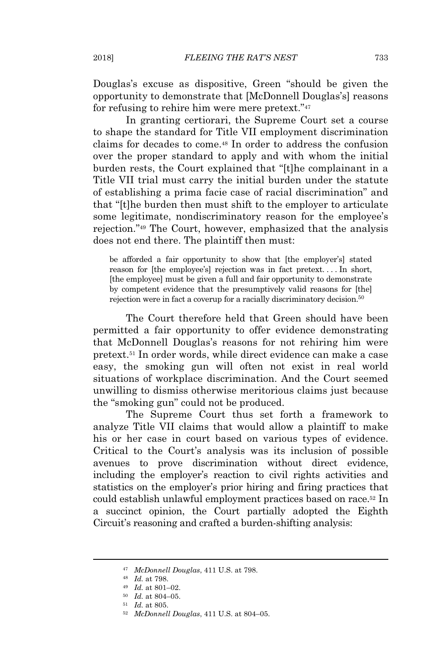Douglas's excuse as dispositive, Green "should be given the opportunity to demonstrate that [McDonnell Douglas's] reasons for refusing to rehire him were mere pretext."<sup>47</sup>

In granting certiorari, the Supreme Court set a course to shape the standard for Title VII employment discrimination claims for decades to come.<sup>48</sup> In order to address the confusion over the proper standard to apply and with whom the initial burden rests, the Court explained that "[t]he complainant in a Title VII trial must carry the initial burden under the statute of establishing a prima facie case of racial discrimination" and that "[t]he burden then must shift to the employer to articulate some legitimate, nondiscriminatory reason for the employee's rejection."<sup>49</sup> The Court, however, emphasized that the analysis does not end there. The plaintiff then must:

be afforded a fair opportunity to show that [the employer's] stated reason for [the employee's] rejection was in fact pretext. . . . In short, [the employee] must be given a full and fair opportunity to demonstrate by competent evidence that the presumptively valid reasons for [the] rejection were in fact a coverup for a racially discriminatory decision.<sup>50</sup>

The Court therefore held that Green should have been permitted a fair opportunity to offer evidence demonstrating that McDonnell Douglas's reasons for not rehiring him were pretext.<sup>51</sup> In order words, while direct evidence can make a case easy, the smoking gun will often not exist in real world situations of workplace discrimination. And the Court seemed unwilling to dismiss otherwise meritorious claims just because the "smoking gun" could not be produced.

The Supreme Court thus set forth a framework to analyze Title VII claims that would allow a plaintiff to make his or her case in court based on various types of evidence. Critical to the Court's analysis was its inclusion of possible avenues to prove discrimination without direct evidence, including the employer's reaction to civil rights activities and statistics on the employer's prior hiring and firing practices that could establish unlawful employment practices based on race.<sup>52</sup> In a succinct opinion, the Court partially adopted the Eighth Circuit's reasoning and crafted a burden-shifting analysis:

- <sup>51</sup> *Id.* at 805.
- <sup>52</sup> *McDonnell Douglas*, 411 U.S. at 804–05.

<sup>47</sup> *McDonnell Douglas*, 411 U.S. at 798.

<sup>48</sup> *Id.* at 798.

<sup>49</sup> *Id.* at 801–02.

<sup>50</sup> *Id.* at 804–05.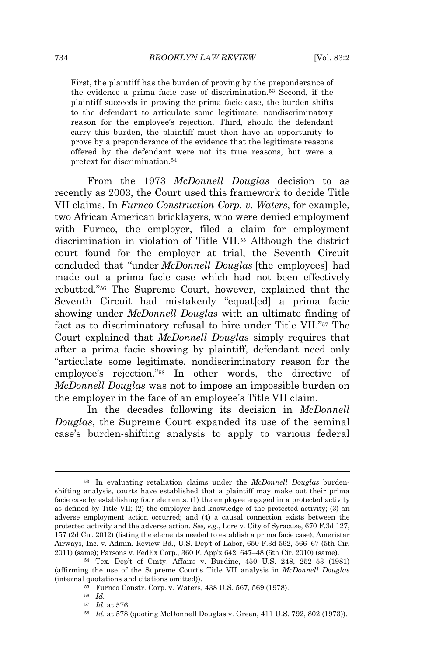First, the plaintiff has the burden of proving by the preponderance of the evidence a prima facie case of discrimination.<sup>53</sup> Second, if the plaintiff succeeds in proving the prima facie case, the burden shifts to the defendant to articulate some legitimate, nondiscriminatory reason for the employee's rejection. Third, should the defendant carry this burden, the plaintiff must then have an opportunity to prove by a preponderance of the evidence that the legitimate reasons offered by the defendant were not its true reasons, but were a pretext for discrimination.<sup>54</sup>

From the 1973 *McDonnell Douglas* decision to as recently as 2003, the Court used this framework to decide Title VII claims. In *Furnco Construction Corp. v. Waters*, for example, two African American bricklayers, who were denied employment with Furnco, the employer, filed a claim for employment discrimination in violation of Title VII.<sup>55</sup> Although the district court found for the employer at trial, the Seventh Circuit concluded that "under *McDonnell Douglas* [the employees] had made out a prima facie case which had not been effectively rebutted."<sup>56</sup> The Supreme Court, however, explained that the Seventh Circuit had mistakenly "equat[ed] a prima facie showing under *McDonnell Douglas* with an ultimate finding of fact as to discriminatory refusal to hire under Title VII."<sup>57</sup> The Court explained that *McDonnell Douglas* simply requires that after a prima facie showing by plaintiff, defendant need only "articulate some legitimate, nondiscriminatory reason for the employee's rejection."<sup>58</sup> In other words, the directive of *McDonnell Douglas* was not to impose an impossible burden on the employer in the face of an employee's Title VII claim.

In the decades following its decision in *McDonnell Douglas*, the Supreme Court expanded its use of the seminal case's burden-shifting analysis to apply to various federal

<sup>53</sup> In evaluating retaliation claims under the *McDonnell Douglas* burdenshifting analysis, courts have established that a plaintiff may make out their prima facie case by establishing four elements: (1) the employee engaged in a protected activity as defined by Title VII; (2) the employer had knowledge of the protected activity; (3) an adverse employment action occurred; and (4) a causal connection exists between the protected activity and the adverse action. *See, e.g.*, Lore v. City of Syracuse, 670 F.3d 127, 157 (2d Cir. 2012) (listing the elements needed to establish a prima facie case); Ameristar Airways, Inc. v. Admin. Review Bd., U.S. Dep't of Labor, 650 F.3d 562, 566–67 (5th Cir. 2011) (same); Parsons v. FedEx Corp., 360 F. App'x 642, 647–48 (6th Cir. 2010) (same).

<sup>54</sup> Tex. Dep't of Cmty. Affairs v. Burdine, 450 U.S. 248, 252–53 (1981) (affirming the use of the Supreme Court's Title VII analysis in *McDonnell Douglas* (internal quotations and citations omitted)).

<sup>55</sup> Furnco Constr. Corp. v. Waters, 438 U.S. 567, 569 (1978).

<sup>56</sup> *Id.*

<sup>57</sup> *Id.* at 576.

<sup>58</sup> *Id.* at 578 (quoting McDonnell Douglas v. Green, 411 U.S. 792, 802 (1973)).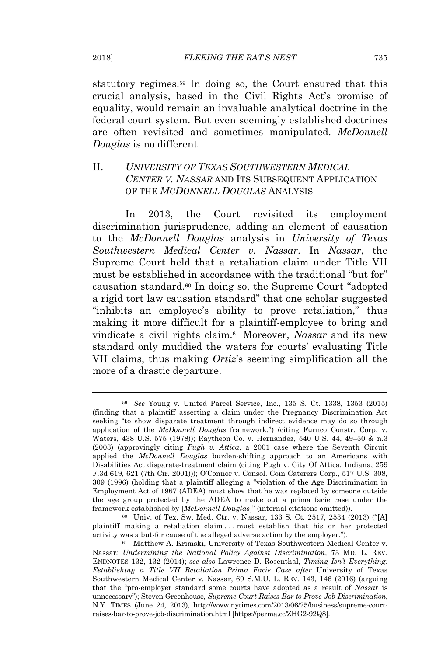statutory regimes.<sup>59</sup> In doing so, the Court ensured that this crucial analysis, based in the Civil Rights Act's promise of equality, would remain an invaluable analytical doctrine in the federal court system. But even seemingly established doctrines are often revisited and sometimes manipulated. *McDonnell Douglas* is no different.

# II. *UNIVERSITY OF TEXAS SOUTHWESTERN MEDICAL CENTER V. NASSAR* AND ITS SUBSEQUENT APPLICATION OF THE *MCDONNELL DOUGLAS* ANALYSIS

In 2013, the Court revisited its employment discrimination jurisprudence, adding an element of causation to the *McDonnell Douglas* analysis in *University of Texas Southwestern Medical Center v. Nassar*. In *Nassar*, the Supreme Court held that a retaliation claim under Title VII must be established in accordance with the traditional "but for" causation standard.<sup>60</sup> In doing so, the Supreme Court "adopted a rigid tort law causation standard" that one scholar suggested "inhibits an employee's ability to prove retaliation," thus making it more difficult for a plaintiff-employee to bring and vindicate a civil rights claim.<sup>61</sup> Moreover, *Nassar* and its new standard only muddied the waters for courts' evaluating Title VII claims, thus making *Ortiz*'s seeming simplification all the more of a drastic departure.

<sup>59</sup> *See* Young v. United Parcel Service, Inc., 135 S. Ct. 1338, 1353 (2015) (finding that a plaintiff asserting a claim under the Pregnancy Discrimination Act seeking "to show disparate treatment through indirect evidence may do so through application of the *McDonnell Douglas* framework.") (citing Furnco Constr. Corp. v. Waters, 438 U.S. 575 (1978)); Raytheon Co. v. Hernandez, 540 U.S. 44, 49–50 & n.3 (2003) (approvingly citing *Pugh v. Attica*, a 2001 case where the Seventh Circuit applied the *McDonnell Douglas* burden-shifting approach to an Americans with Disabilities Act disparate-treatment claim (citing Pugh v. City Of Attica, Indiana, 259 F.3d 619, 621 (7th Cir. 2001))); O'Connor v. Consol. Coin Caterers Corp., 517 U.S. 308, 309 (1996) (holding that a plaintiff alleging a "violation of the Age Discrimination in Employment Act of 1967 (ADEA) must show that he was replaced by someone outside the age group protected by the ADEA to make out a prima facie case under the framework established by [*McDonnell Douglas*]" (internal citations omitted)).

<sup>60</sup> Univ. of Tex. Sw. Med. Ctr. v. Nassar, 133 S. Ct. 2517, 2534 (2013) ("[A] plaintiff making a retaliation claim . . . must establish that his or her protected activity was a but-for cause of the alleged adverse action by the employer.").

<sup>61</sup> Matthew A. Krimski, University of Texas Southwestern Medical Center v. Nassar*: Undermining the National Policy Against Discrimination*, 73 MD. L. REV. ENDNOTES 132, 132 (2014); *see also* Lawrence D. Rosenthal, *Timing Isn't Everything: Establishing a Title VII Retaliation Prima Facie Case after* University of Texas Southwestern Medical Center v. Nassar, 69 S.M.U. L. REV. 143, 146 (2016) (arguing that the "pro-employer standard some courts have adopted as a result of *Nassar* is unnecessary"); Steven Greenhouse, *Supreme Court Raises Bar to Prove Job Discrimination*, N.Y. TIMES (June 24, 2013), http://www.nytimes.com/2013/06/25/business/supreme-courtraises-bar-to-prove-job-discrimination.html [https://perma.cc/ZHG2-92Q8].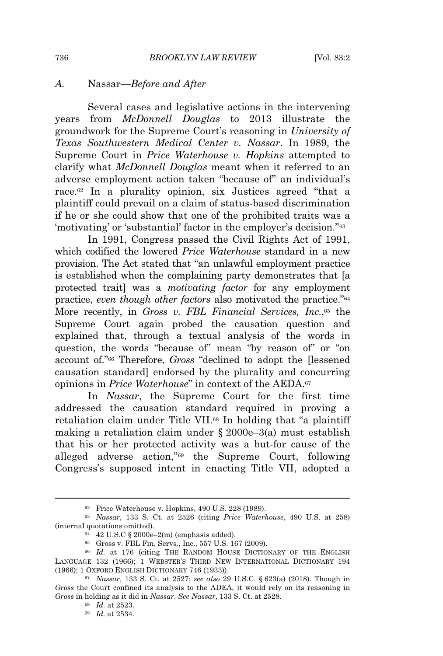## *A.* Nassar*—Before and After*

Several cases and legislative actions in the intervening years from *McDonnell Douglas* to 2013 illustrate the groundwork for the Supreme Court's reasoning in *University of Texas Southwestern Medical Center v. Nassar*. In 1989, the Supreme Court in *Price Waterhouse v. Hopkins* attempted to clarify what *McDonnell Douglas* meant when it referred to an adverse employment action taken "because of" an individual's race.<sup>62</sup> In a plurality opinion, six Justices agreed "that a plaintiff could prevail on a claim of status-based discrimination if he or she could show that one of the prohibited traits was a 'motivating' or 'substantial' factor in the employer's decision."<sup>63</sup>

In 1991, Congress passed the Civil Rights Act of 1991, which codified the lowered *Price Waterhouse* standard in a new provision. The Act stated that "an unlawful employment practice is established when the complaining party demonstrates that [a protected trait] was a *motivating factor* for any employment practice, *even though other factors* also motivated the practice."<sup>64</sup> More recently, in *Gross v. FBL Financial Services, Inc.*,<sup>65</sup> the Supreme Court again probed the causation question and explained that, through a textual analysis of the words in question, the words "because of" mean "by reason of" or "on account of."<sup>66</sup> Therefore, *Gross* "declined to adopt the [lessened causation standard] endorsed by the plurality and concurring opinions in *Price Waterhouse*" in context of the AEDA.<sup>67</sup>

In *Nassar*, the Supreme Court for the first time addressed the causation standard required in proving a retaliation claim under Title VII.<sup>68</sup> In holding that "a plaintiff making a retaliation claim under § 2000e–3(a) must establish that his or her protected activity was a but-for cause of the alleged adverse action,"<sup>69</sup> the Supreme Court, following Congress's supposed intent in enacting Title VII, adopted a

<sup>62</sup> Price Waterhouse v. Hopkins, 490 U.S. 228 (1989).

<sup>63</sup> *Nassar*, 133 S. Ct. at 2526 (citing *Price Waterhouse*, 490 U.S. at 258) (internal quotations omitted).

<sup>64</sup> 42 U.S.C § 2000e–2(m) (emphasis added).

<sup>65</sup> Gross v. FBL Fin. Servs., Inc., 557 U.S. 167 (2009).

<sup>66</sup> *Id.* at 176 (citing THE RANDOM HOUSE DICTIONARY OF THE ENGLISH LANGUAGE 132 (1966); 1 WEBSTER'S THIRD NEW INTERNATIONAL DICTIONARY 194 (1966); 1 OXFORD ENGLISH DICTIONARY 746 (1933)).

<sup>67</sup> *Nassar*, 133 S. Ct. at 2527; *see also* 29 U.S.C. § 623(a) (2018). Though in *Gross* the Court confined its analysis to the ADEA, it would rely on its reasoning in *Gross* in holding as it did in *Nassar*. *See Nassar*, 133 S. Ct. at 2528.

<sup>68</sup> *Id.* at 2523.

<sup>69</sup> *Id.* at 2534.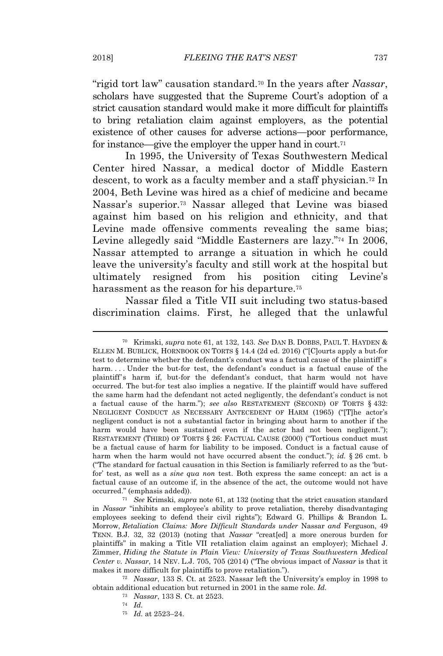"rigid tort law" causation standard.<sup>70</sup> In the years after *Nassar*, scholars have suggested that the Supreme Court's adoption of a strict causation standard would make it more difficult for plaintiffs to bring retaliation claim against employers, as the potential existence of other causes for adverse actions—poor performance, for instance—give the employer the upper hand in court.<sup>71</sup>

In 1995, the University of Texas Southwestern Medical Center hired Nassar, a medical doctor of Middle Eastern descent, to work as a faculty member and a staff physician.<sup>72</sup> In 2004, Beth Levine was hired as a chief of medicine and became Nassar's superior.<sup>73</sup> Nassar alleged that Levine was biased against him based on his religion and ethnicity, and that Levine made offensive comments revealing the same bias; Levine allegedly said "Middle Easterners are lazy."<sup>74</sup> In 2006, Nassar attempted to arrange a situation in which he could leave the university's faculty and still work at the hospital but ultimately resigned from his position citing Levine's harassment as the reason for his departure.<sup>75</sup>

Nassar filed a Title VII suit including two status-based discrimination claims. First, he alleged that the unlawful

<sup>70</sup> Krimski, *supra* note 61, at 132, 143. *See* DAN B. DOBBS, PAUL T. HAYDEN & ELLEN M. BUBLICK, HORNBOOK ON TORTS § 14.4 (2d ed. 2016) ("[C]ourts apply a but-for test to determine whether the defendant's conduct was a factual cause of the plaintiff's harm.... Under the but-for test, the defendant's conduct is a factual cause of the plaintiff's harm if, but-for the defendant's conduct, that harm would not have occurred. The but-for test also implies a negative. If the plaintiff would have suffered the same harm had the defendant not acted negligently, the defendant's conduct is not a factual cause of the harm."); *see also* RESTATEMENT (SECOND) OF TORTS § 432: NEGLIGENT CONDUCT AS NECESSARY ANTECEDENT OF HARM (1965) ("[T]he actor's negligent conduct is not a substantial factor in bringing about harm to another if the harm would have been sustained even if the actor had not been negligent."); RESTATEMENT (THIRD) OF TORTS § 26: FACTUAL CAUSE (2000) ("Tortious conduct must be a factual cause of harm for liability to be imposed. Conduct is a factual cause of harm when the harm would not have occurred absent the conduct."); *id.* § 26 cmt. b ("The standard for factual causation in this Section is familiarly referred to as the 'butfor' test, as well as a *sine qua non* test. Both express the same concept: an act is a factual cause of an outcome if, in the absence of the act, the outcome would not have occurred." (emphasis added)).

<sup>71</sup> *See* Krimski, *supra* note 61, at 132 (noting that the strict causation standard in *Nassar* "inhibits an employee's ability to prove retaliation, thereby disadvantaging employees seeking to defend their civil rights"); Edward G. Phillips & Brandon L. Morrow, *Retaliation Claims: More Difficult Standards under* Nassar *and* Ferguson, 49 TENN. B.J. 32, 32 (2013) (noting that *Nassar* "creat[ed] a more onerous burden for plaintiffs" in making a Title VII retaliation claim against an employer); Michael J. Zimmer, *Hiding the Statute in Plain View: University of Texas Southwestern Medical Center v. Nassar*, 14 NEV. L.J. 705, 705 (2014) ("The obvious impact of *Nassar* is that it makes it more difficult for plaintiffs to prove retaliation.").

<sup>72</sup> *Nassar*, 133 S. Ct. at 2523. Nassar left the University's employ in 1998 to obtain additional education but returned in 2001 in the same role. *Id.*

<sup>73</sup> *Nassar*, 133 S. Ct. at 2523.

<sup>74</sup> *Id.*

<sup>75</sup> *Id.* at 2523–24.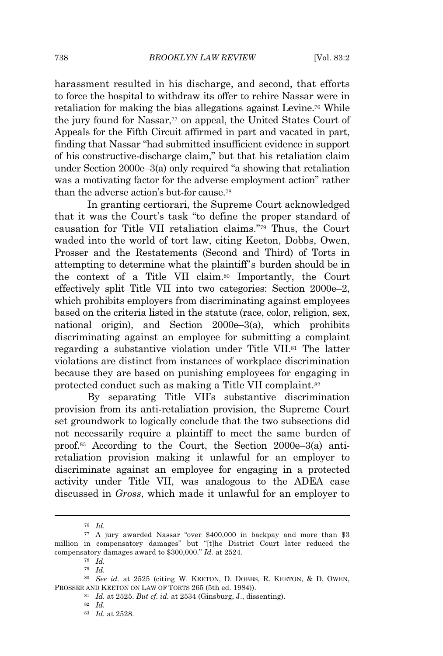harassment resulted in his discharge, and second, that efforts to force the hospital to withdraw its offer to rehire Nassar were in retaliation for making the bias allegations against Levine.<sup>76</sup> While the jury found for Nassar,<sup>77</sup> on appeal, the United States Court of Appeals for the Fifth Circuit affirmed in part and vacated in part, finding that Nassar "had submitted insufficient evidence in support of his constructive-discharge claim," but that his retaliation claim under Section 2000e–3(a) only required "a showing that retaliation was a motivating factor for the adverse employment action" rather than the adverse action's but-for cause.<sup>78</sup>

In granting certiorari, the Supreme Court acknowledged that it was the Court's task "to define the proper standard of causation for Title VII retaliation claims."<sup>79</sup> Thus, the Court waded into the world of tort law, citing Keeton, Dobbs, Owen, Prosser and the Restatements (Second and Third) of Torts in attempting to determine what the plaintiff's burden should be in the context of a Title VII claim.<sup>80</sup> Importantly, the Court effectively split Title VII into two categories: Section 2000e–2, which prohibits employers from discriminating against employees based on the criteria listed in the statute (race, color, religion, sex, national origin), and Section 2000e–3(a), which prohibits discriminating against an employee for submitting a complaint regarding a substantive violation under Title VII.<sup>81</sup> The latter violations are distinct from instances of workplace discrimination because they are based on punishing employees for engaging in protected conduct such as making a Title VII complaint.<sup>82</sup>

By separating Title VII's substantive discrimination provision from its anti-retaliation provision, the Supreme Court set groundwork to logically conclude that the two subsections did not necessarily require a plaintiff to meet the same burden of proof.<sup>83</sup> According to the Court, the Section 2000e–3(a) antiretaliation provision making it unlawful for an employer to discriminate against an employee for engaging in a protected activity under Title VII, was analogous to the ADEA case discussed in *Gross*, which made it unlawful for an employer to

<sup>76</sup> *Id.*

<sup>77</sup> A jury awarded Nassar "over \$400,000 in backpay and more than \$3 million in compensatory damages" but "[t]he District Court later reduced the compensatory damages award to \$300,000." *Id.* at 2524*.*

<sup>78</sup> *Id.*

<sup>79</sup> *Id.*

<sup>80</sup> *See id.* at 2525 (citing W. KEETON, D. DOBBS, R. KEETON, & D. OWEN, PROSSER AND KEETON ON LAW OF TORTS 265 (5th ed. 1984)).

<sup>81</sup> *Id.* at 2525. *But cf. id.* at 2534 (Ginsburg, J., dissenting).

<sup>82</sup> *Id.*

<sup>83</sup> *Id.* at 2528.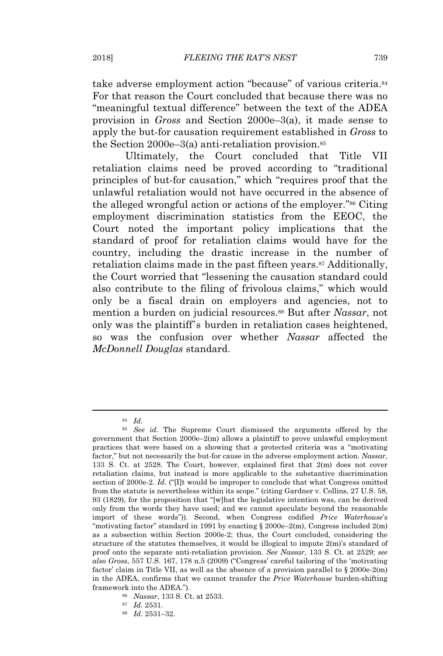take adverse employment action "because" of various criteria.<sup>84</sup> For that reason the Court concluded that because there was no "meaningful textual difference" between the text of the ADEA provision in *Gross* and Section 2000e–3(a), it made sense to apply the but-for causation requirement established in *Gross* to the Section  $2000e-3(a)$  anti-retaliation provision.<sup>85</sup>

Ultimately, the Court concluded that Title VII retaliation claims need be proved according to "traditional principles of but-for causation," which "requires proof that the unlawful retaliation would not have occurred in the absence of the alleged wrongful action or actions of the employer."<sup>86</sup> Citing employment discrimination statistics from the EEOC, the Court noted the important policy implications that the standard of proof for retaliation claims would have for the country, including the drastic increase in the number of retaliation claims made in the past fifteen years.<sup>87</sup> Additionally, the Court worried that "lessening the causation standard could also contribute to the filing of frivolous claims," which would only be a fiscal drain on employers and agencies, not to mention a burden on judicial resources.<sup>88</sup> But after *Nassar*, not only was the plaintiff's burden in retaliation cases heightened, so was the confusion over whether *Nassar* affected the *McDonnell Douglas* standard.

<sup>88</sup> *Id.* 2531–32.

<sup>84</sup> *Id.*

<sup>85</sup> *See id.* The Supreme Court dismissed the arguments offered by the government that Section 2000e–2(m) allows a plaintiff to prove unlawful employment practices that were based on a showing that a protected criteria was a "motivating factor," but not necessarily the but-for cause in the adverse employment action. *Nassar*, 133 S. Ct. at 2528. The Court, however, explained first that 2(m) does not cover retaliation claims, but instead is more applicable to the substantive discrimination section of 2000e-2. *Id.* ("[I]t would be improper to conclude that what Congress omitted from the statute is nevertheless within its scope." (citing Gardner v. Collins, 27 U.S. 58, 93 (1829), for the proposition that "[w]hat the legislative intention was, can be derived only from the words they have used; and we cannot speculate beyond the reasonable import of these words")). Second, when Congress codified *Price Waterhouse*'s "motivating factor" standard in 1991 by enacting  $\S 2000e-2(m)$ , Congress included  $2(m)$ as a subsection within Section 2000e-2; thus, the Court concluded, considering the structure of the statutes themselves, it would be illogical to impute 2(m)'s standard of proof onto the separate anti-retaliation provision. *See Nassar*, 133 S. Ct. at 2529; *see also Gross*, 557 U.S. 167, 178 n.5 (2009) ("Congress' careful tailoring of the 'motivating factor' claim in Title VII, as well as the absence of a provision parallel to  $\S 2000e-2(m)$ in the ADEA, confirms that we cannot transfer the *Price Waterhouse* burden-shifting framework into the ADEA.").

<sup>86</sup> *Nassar*, 133 S. Ct. at 2533.

<sup>87</sup> *Id.* 2531.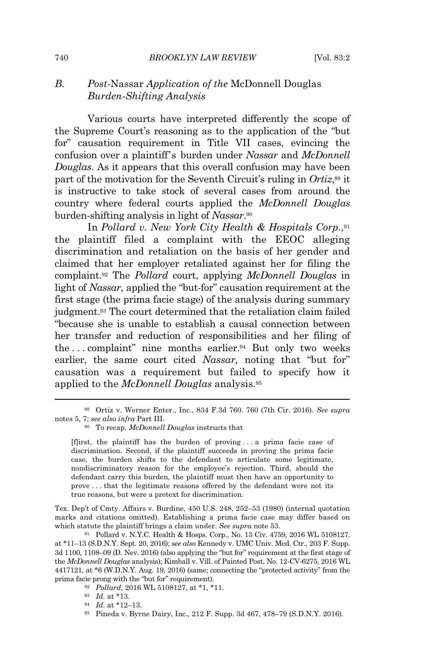# *B. Post-*Nassar *Application of the* McDonnell Douglas *Burden-Shifting Analysis*

Various courts have interpreted differently the scope of the Supreme Court's reasoning as to the application of the "but for" causation requirement in Title VII cases, evincing the confusion over a plaintiff's burden under *Nassar* and *McDonnell Douglas*. As it appears that this overall confusion may have been part of the motivation for the Seventh Circuit's ruling in *Ortiz*, <sup>89</sup> it is instructive to take stock of several cases from around the country where federal courts applied the *McDonnell Douglas* burden-shifting analysis in light of *Nassar*. 90

In *Pollard v. New York City Health & Hospitals Corp.*, 91 the plaintiff filed a complaint with the EEOC alleging discrimination and retaliation on the basis of her gender and claimed that her employer retaliated against her for filing the complaint.<sup>92</sup> The *Pollard* court, applying *McDonnell Douglas* in light of *Nassar*, applied the "but-for" causation requirement at the first stage (the prima facie stage) of the analysis during summary judgment.<sup>93</sup> The court determined that the retaliation claim failed "because she is unable to establish a causal connection between her transfer and reduction of responsibilities and her filing of the . . . complaint" nine months earlier.<sup>94</sup> But only two weeks earlier, the same court cited *Nassar,* noting that "but for" causation was a requirement but failed to specify how it applied to the *McDonnell Douglas* analysis.<sup>95</sup>

Tex. Dep't of Cmty. Affairs v. Burdine, 450 U.S. 248, 252–53 (1980) (internal quotation marks and citations omitted). Establishing a prima facie case may differ based on which statute the plaintiff brings a claim under. *See supra* note 53.

<sup>89</sup> Ortiz v. Werner Enter., Inc., 834 F.3d 760. 760 (7th Cir. 2016). *See supra* notes 5, 7; *see also infra* Part III.

<sup>90</sup> To recap, *McDonnell Douglas* instructs that

<sup>[</sup>f]irst, the plaintiff has the burden of proving . . . a prima facie case of discrimination. Second, if the plaintiff succeeds in proving the prima facie case, the burden shifts to the defendant to articulate some legitimate, nondiscriminatory reason for the employee's rejection. Third, should the defendant carry this burden, the plaintiff must then have an opportunity to prove . . . that the legitimate reasons offered by the defendant were not its true reasons, but were a pretext for discrimination.

<sup>91</sup> Pollard v. N.Y.C. Health & Hosps. Corp., No. 13 Civ. 4759, 2016 WL 5108127, at \*11–13 (S.D.N.Y. Sept. 20, 2016); *see also* Kennedy v. UMC Univ. Med. Ctr., 203 F. Supp. 3d 1100, 1108–09 (D. Nev. 2016) (also applying the "but for" requirement at the first stage of the *McDonnell Douglas* analysis); Kimball v. Vill. of Painted Post, No. 12-CV-6275, 2016 WL 4417121, at \*6 (W.D.N.Y. Aug. 19, 2016) (same; connecting the "protected activity" from the prima facie prong with the "but for" requirement).

<sup>92</sup> *Pollard*, 2016 WL 5108127, at \*1, \*11.

<sup>93</sup> *Id.* at \*13.

<sup>94</sup> *Id.* at \*12–13.

<sup>95</sup> Pineda v. Byrne Dairy, Inc., 212 F. Supp. 3d 467, 478–79 (S.D.N.Y. 2016).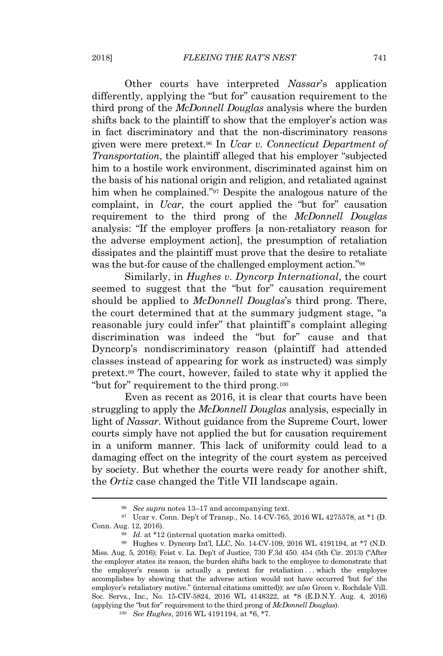Other courts have interpreted *Nassar*'s application differently, applying the "but for" causation requirement to the third prong of the *McDonnell Douglas* analysis where the burden shifts back to the plaintiff to show that the employer's action was in fact discriminatory and that the non-discriminatory reasons given were mere pretext.<sup>96</sup> In *Ucar v. Connecticut Department of Transportation*, the plaintiff alleged that his employer "subjected him to a hostile work environment, discriminated against him on the basis of his national origin and religion, and retaliated against him when he complained."<sup>97</sup> Despite the analogous nature of the complaint, in *Ucar*, the court applied the "but for" causation requirement to the third prong of the *McDonnell Douglas* analysis: "If the employer proffers [a non-retaliatory reason for the adverse employment action], the presumption of retaliation dissipates and the plaintiff must prove that the desire to retaliate was the but-for cause of the challenged employment action."<sup>98</sup>

Similarly, in *Hughes v. Dyncorp International*, the court seemed to suggest that the "but for" causation requirement should be applied to *McDonnell Douglas*'s third prong. There, the court determined that at the summary judgment stage, "a reasonable jury could infer" that plaintiff's complaint alleging discrimination was indeed the "but for" cause and that Dyncorp's nondiscriminatory reason (plaintiff had attended classes instead of appearing for work as instructed) was simply pretext.<sup>99</sup> The court, however, failed to state why it applied the "but for" requirement to the third prong.<sup>100</sup>

Even as recent as 2016, it is clear that courts have been struggling to apply the *McDonnell Douglas* analysis, especially in light of *Nassar*. Without guidance from the Supreme Court, lower courts simply have not applied the but for causation requirement in a uniform manner. This lack of uniformity could lead to a damaging effect on the integrity of the court system as perceived by society. But whether the courts were ready for another shift, the *Ortiz* case changed the Title VII landscape again.

<sup>100</sup> *See Hughes*, 2016 WL 4191194, at \*6, \*7.

<sup>96</sup> *See supra* notes 13–17 and accompanying text.

<sup>97</sup> Ucar v. Conn. Dep't of Transp., No. 14-CV-765, 2016 WL 4275578, at \*1 (D. Conn. Aug. 12, 2016).

<sup>&</sup>lt;sup>98</sup> *Id.* at \*12 (internal quotation marks omitted).

<sup>99</sup> Hughes v. Dyncorp Int'l, LLC, No. 14-CV-109, 2016 WL 4191194, at \*7 (N.D. Miss. Aug. 5, 2016); Feist v. La. Dep't of Justice, 730 F.3d 450. 454 (5th Cir. 2013) ("After the employer states its reason, the burden shifts back to the employee to demonstrate that the employer's reason is actually a pretext for retaliation . . . which the employee accomplishes by showing that the adverse action would not have occurred 'but for' the employer's retaliatory motive." (internal citations omitted)); *see also* Green v. Rochdale Vill. Soc. Servs., Inc., No. 15-CIV-5824, 2016 WL 4148322, at \*8 (E.D.N.Y. Aug. 4, 2016) (applying the "but for" requirement to the third prong of *McDonnell Douglas*).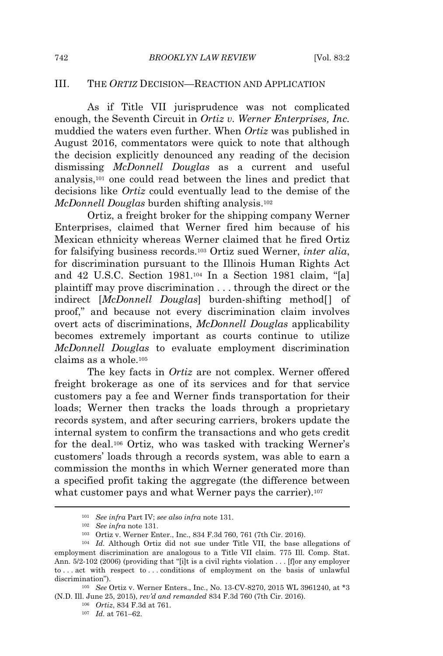## III. THE *ORTIZ* DECISION—REACTION AND APPLICATION

As if Title VII jurisprudence was not complicated enough, the Seventh Circuit in *Ortiz v. Werner Enterprises, Inc.* muddied the waters even further. When *Ortiz* was published in August 2016, commentators were quick to note that although the decision explicitly denounced any reading of the decision dismissing *McDonnell Douglas* as a current and useful analysis,<sup>101</sup> one could read between the lines and predict that decisions like *Ortiz* could eventually lead to the demise of the *McDonnell Douglas* burden shifting analysis.<sup>102</sup>

Ortiz, a freight broker for the shipping company Werner Enterprises, claimed that Werner fired him because of his Mexican ethnicity whereas Werner claimed that he fired Ortiz for falsifying business records.<sup>103</sup> Ortiz sued Werner, *inter alia*, for discrimination pursuant to the Illinois Human Rights Act and 42 U.S.C. Section 1981.<sup>104</sup> In a Section 1981 claim, "[a] plaintiff may prove discrimination . . . through the direct or the indirect [*McDonnell Douglas*] burden-shifting method[] of proof," and because not every discrimination claim involves overt acts of discriminations, *McDonnell Douglas* applicability becomes extremely important as courts continue to utilize *McDonnell Douglas* to evaluate employment discrimination claims as a whole.<sup>105</sup>

The key facts in *Ortiz* are not complex. Werner offered freight brokerage as one of its services and for that service customers pay a fee and Werner finds transportation for their loads; Werner then tracks the loads through a proprietary records system, and after securing carriers, brokers update the internal system to confirm the transactions and who gets credit for the deal.<sup>106</sup> Ortiz, who was tasked with tracking Werner's customers' loads through a records system, was able to earn a commission the months in which Werner generated more than a specified profit taking the aggregate (the difference between what customer pays and what Werner pays the carrier).<sup>107</sup>

<sup>101</sup> *See infra* Part IV; *see also infra* note 131.

<sup>102</sup> *See infra* note 131.

<sup>103</sup> Ortiz v. Werner Enter., Inc., 834 F.3d 760, 761 (7th Cir. 2016).

<sup>104</sup> *Id.* Although Ortiz did not sue under Title VII, the base allegations of employment discrimination are analogous to a Title VII claim. 775 Ill. Comp. Stat. Ann. 5/2-102 (2006) (providing that "[i]t is a civil rights violation . . . [f]or any employer to . . . act with respect to . . . conditions of employment on the basis of unlawful discrimination").

<sup>105</sup> *See* Ortiz v. Werner Enters., Inc., No. 13-CV-8270, 2015 WL 3961240, at \*3 (N.D. Ill. June 25, 2015), *rev'd and remanded* 834 F.3d 760 (7th Cir. 2016).

<sup>106</sup> *Ortiz*, 834 F.3d at 761.

<sup>107</sup> *Id.* at 761–62.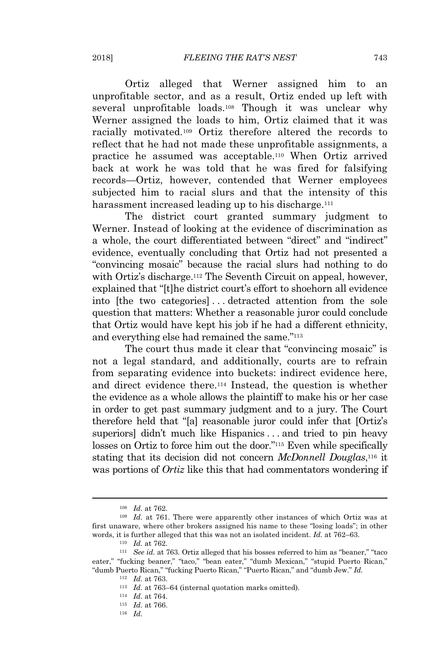Ortiz alleged that Werner assigned him to an unprofitable sector, and as a result, Ortiz ended up left with several unprofitable loads.<sup>108</sup> Though it was unclear why Werner assigned the loads to him, Ortiz claimed that it was racially motivated.<sup>109</sup> Ortiz therefore altered the records to reflect that he had not made these unprofitable assignments, a practice he assumed was acceptable.<sup>110</sup> When Ortiz arrived back at work he was told that he was fired for falsifying records—Ortiz, however, contended that Werner employees subjected him to racial slurs and that the intensity of this harassment increased leading up to his discharge.<sup>111</sup>

The district court granted summary judgment to Werner. Instead of looking at the evidence of discrimination as a whole, the court differentiated between "direct" and "indirect" evidence, eventually concluding that Ortiz had not presented a "convincing mosaic" because the racial slurs had nothing to do with Ortiz's discharge.<sup>112</sup> The Seventh Circuit on appeal, however, explained that "[t]he district court's effort to shoehorn all evidence into [the two categories] . . . detracted attention from the sole question that matters: Whether a reasonable juror could conclude that Ortiz would have kept his job if he had a different ethnicity, and everything else had remained the same."<sup>113</sup>

The court thus made it clear that "convincing mosaic" is not a legal standard, and additionally, courts are to refrain from separating evidence into buckets: indirect evidence here, and direct evidence there.<sup>114</sup> Instead, the question is whether the evidence as a whole allows the plaintiff to make his or her case in order to get past summary judgment and to a jury. The Court therefore held that "[a] reasonable juror could infer that [Ortiz's superiors] didn't much like Hispanics . . . and tried to pin heavy losses on Ortiz to force him out the door."<sup>115</sup> Even while specifically stating that its decision did not concern *McDonnell Douglas*, <sup>116</sup> it was portions of *Ortiz* like this that had commentators wondering if

<sup>108</sup> *Id.* at 762.

<sup>109</sup> *Id.* at 761. There were apparently other instances of which Ortiz was at first unaware, where other brokers assigned his name to these "losing loads"; in other words, it is further alleged that this was not an isolated incident. *Id.* at 762–63.

<sup>110</sup> *Id.* at 762.

<sup>111</sup> *See id.* at 763. Ortiz alleged that his bosses referred to him as "beaner," "taco eater," "fucking beaner," "taco," "bean eater," "dumb Mexican," "stupid Puerto Rican," "dumb Puerto Rican," "fucking Puerto Rican," "Puerto Rican," and "dumb Jew." *Id.*

<sup>112</sup> *Id.* at 763.

<sup>&</sup>lt;sup>113</sup> *Id.* at 763–64 (internal quotation marks omitted).

<sup>114</sup> *Id.* at 764.

<sup>115</sup> *Id.* at 766.

<sup>116</sup> *Id.*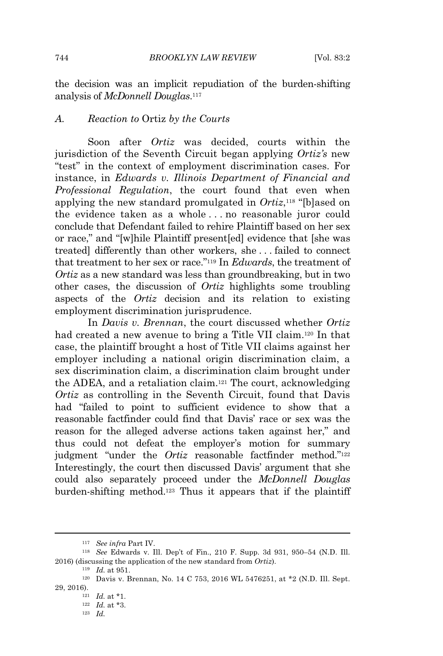the decision was an implicit repudiation of the burden-shifting analysis of *McDonnell Douglas*. 117

#### *A. Reaction to* Ortiz *by the Courts*

Soon after *Ortiz* was decided, courts within the jurisdiction of the Seventh Circuit began applying *Ortiz's* new "test" in the context of employment discrimination cases. For instance, in *Edwards v. Illinois Department of Financial and Professional Regulation*, the court found that even when applying the new standard promulgated in *Ortiz*, <sup>118</sup> "[b]ased on the evidence taken as a whole . . . no reasonable juror could conclude that Defendant failed to rehire Plaintiff based on her sex or race," and "[w]hile Plaintiff present[ed] evidence that [she was treated] differently than other workers, she . . . failed to connect that treatment to her sex or race."<sup>119</sup> In *Edwards*, the treatment of *Ortiz* as a new standard was less than groundbreaking, but in two other cases, the discussion of *Ortiz* highlights some troubling aspects of the *Ortiz* decision and its relation to existing employment discrimination jurisprudence.

In *Davis v. Brennan*, the court discussed whether *Ortiz* had created a new avenue to bring a Title VII claim.<sup>120</sup> In that case, the plaintiff brought a host of Title VII claims against her employer including a national origin discrimination claim, a sex discrimination claim, a discrimination claim brought under the ADEA, and a retaliation claim.<sup>121</sup> The court, acknowledging *Ortiz* as controlling in the Seventh Circuit, found that Davis had "failed to point to sufficient evidence to show that a reasonable factfinder could find that Davis' race or sex was the reason for the alleged adverse actions taken against her," and thus could not defeat the employer's motion for summary judgment "under the *Ortiz* reasonable factfinder method."<sup>122</sup> Interestingly, the court then discussed Davis' argument that she could also separately proceed under the *McDonnell Douglas* burden-shifting method.<sup>123</sup> Thus it appears that if the plaintiff

<sup>119</sup> *Id.* at 951.

<sup>123</sup> *Id.*

<sup>117</sup> *See infra* Part IV.

<sup>118</sup> *See* Edwards v. Ill. Dep't of Fin., 210 F. Supp. 3d 931, 950–54 (N.D. Ill. 2016) (discussing the application of the new standard from *Ortiz*).

<sup>120</sup> Davis v. Brennan, No. 14 C 753, 2016 WL 5476251, at \*2 (N.D. Ill. Sept. 29, 2016).

<sup>121</sup> *Id.* at \*1.

<sup>122</sup> *Id.* at \*3.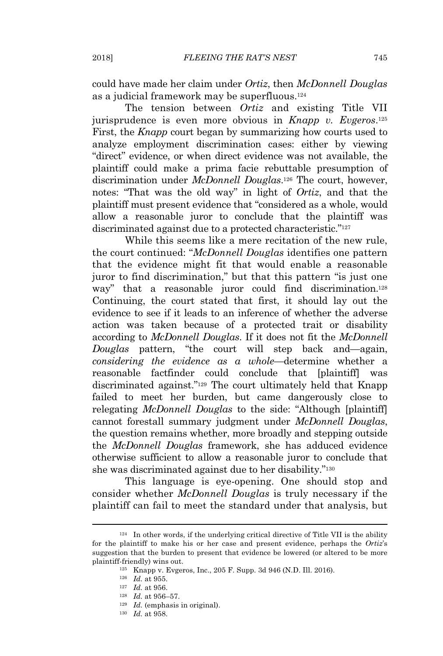could have made her claim under *Ortiz*, then *McDonnell Douglas* as a judicial framework may be superfluous.<sup>124</sup>

The tension between *Ortiz* and existing Title VII jurisprudence is even more obvious in *Knapp v. Evgeros*. 125 First, the *Knapp* court began by summarizing how courts used to analyze employment discrimination cases: either by viewing "direct" evidence, or when direct evidence was not available, the plaintiff could make a prima facie rebuttable presumption of discrimination under *McDonnell Douglas*. <sup>126</sup> The court, however, notes: "That was the old way" in light of *Ortiz*, and that the plaintiff must present evidence that "considered as a whole, would allow a reasonable juror to conclude that the plaintiff was discriminated against due to a protected characteristic."<sup>127</sup>

While this seems like a mere recitation of the new rule, the court continued: "*McDonnell Douglas* identifies one pattern that the evidence might fit that would enable a reasonable juror to find discrimination," but that this pattern "is just one way" that a reasonable juror could find discrimination.<sup>128</sup> Continuing, the court stated that first, it should lay out the evidence to see if it leads to an inference of whether the adverse action was taken because of a protected trait or disability according to *McDonnell Douglas*. If it does not fit the *McDonnell Douglas* pattern, "the court will step back and—again, *considering the evidence as a whole*—determine whether a reasonable factfinder could conclude that [plaintiff] was discriminated against."<sup>129</sup> The court ultimately held that Knapp failed to meet her burden, but came dangerously close to relegating *McDonnell Douglas* to the side: "Although [plaintiff] cannot forestall summary judgment under *McDonnell Douglas*, the question remains whether, more broadly and stepping outside the *McDonnell Douglas* framework, she has adduced evidence otherwise sufficient to allow a reasonable juror to conclude that she was discriminated against due to her disability."<sup>130</sup>

This language is eye-opening. One should stop and consider whether *McDonnell Douglas* is truly necessary if the plaintiff can fail to meet the standard under that analysis, but

<sup>124</sup> In other words, if the underlying critical directive of Title VII is the ability for the plaintiff to make his or her case and present evidence, perhaps the *Ortiz*'s suggestion that the burden to present that evidence be lowered (or altered to be more plaintiff-friendly) wins out.

<sup>125</sup> Knapp v. Evgeros, Inc., 205 F. Supp. 3d 946 (N.D. Ill. 2016).

<sup>126</sup> *Id.* at 955.

<sup>127</sup> *Id.* at 956.

<sup>128</sup> *Id.* at 956–57.

<sup>129</sup> *Id.* (emphasis in original).

<sup>130</sup> *Id.* at 958.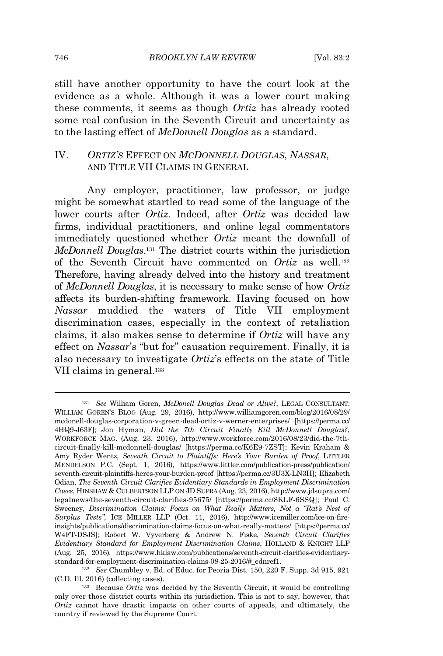still have another opportunity to have the court look at the evidence as a whole. Although it was a lower court making these comments, it seems as though *Ortiz* has already rooted some real confusion in the Seventh Circuit and uncertainty as to the lasting effect of *McDonnell Douglas* as a standard.

# IV. *ORTIZ'S* EFFECT ON *MCDONNELL DOUGLAS*, *NASSAR*, AND TITLE VII CLAIMS IN GENERAL

Any employer, practitioner, law professor, or judge might be somewhat startled to read some of the language of the lower courts after *Ortiz*. Indeed, after *Ortiz* was decided law firms, individual practitioners, and online legal commentators immediately questioned whether *Ortiz* meant the downfall of *McDonnell Douglas*. <sup>131</sup> The district courts within the jurisdiction of the Seventh Circuit have commented on *Ortiz* as well.<sup>132</sup> Therefore, having already delved into the history and treatment of *McDonnell Douglas*, it is necessary to make sense of how *Ortiz* affects its burden-shifting framework. Having focused on how *Nassar* muddied the waters of Title VII employment discrimination cases, especially in the context of retaliation claims, it also makes sense to determine if *Ortiz* will have any effect on *Nassar*'s "but for" causation requirement. Finally, it is also necessary to investigate *Ortiz*'s effects on the state of Title VII claims in general.<sup>133</sup>

<sup>131</sup> *See* William Goren, *McDonell Douglas Dead or Alive?*, LEGAL CONSULTANT: WILLIAM GOREN'S BLOG (Aug. 29, 2016), http://www.williamgoren.com/blog/2016/08/29/ mcdonell-douglas-corporation-v-green-dead-ortiz-v-werner-enterprises/ [https://perma.cc/ 4HQ9-J63F]; Jon Hyman, *Did the 7th Circuit Finally Kill McDonnell Douglas?*, WORKFORCE MAG. (Aug. 23, 2016), http://www.workforce.com/2016/08/23/did-the-7thcircuit-finally-kill-mcdonnell-douglas/ [https://perma.cc/K6E9-7ZST]; Kevin Kraham & Amy Ryder Wentz, *Seventh Circuit to Plaintiffs: Here's Your Burden of Proof*, LITTLER MENDELSON P.C. (Sept. 1, 2016), https://www.littler.com/publication-press/publication/ seventh-circuit-plaintiffs-heres-your-burden-proof [https://perma.cc/3U3X-LN3H]; Elizabeth Odian, *The Seventh Circuit Clarifies Evidentiary Standards in Employment Discrimination Cases*, HINSHAW & CULBERTSON LLP ON JD SUPRA (Aug. 23, 2016), http://www.jdsupra.com/ legalnews/the-seventh-circuit-clarifies-95675/ [https://perma.cc/8KLF-6SSQ]; Paul C. Sweeney, *Discrimination Claims: Focus on What Really Matters, Not a "Rat's Nest of Surplus Tests"*, ICE MILLER LLP (Oct. 11, 2016), http://www.icemiller.com/ice-on-fireinsights/publications/discrimination-claims-focus-on-what-really-matters/ [https://perma.cc/ W4FT-DSJS]; Robert W. Vyverberg & Andrew N. Fiske, *Seventh Circuit Clarifies Evidentiary Standard for Employment Discrimination Claims*, HOLLAND & KNIGHT LLP (Aug. 25, 2016), https://www.hklaw.com/publications/seventh-circuit-clarifies-evidentiarystandard-for-employment-discrimination-claims-08-25-2016/#\_ednref1.

<sup>132</sup> *See* Chumbley v. Bd. of Educ. for Peoria Dist. 150, 220 F. Supp. 3d 915, 921 (C.D. Ill. 2016) (collecting cases).

<sup>133</sup> Because *Ortiz* was decided by the Seventh Circuit, it would be controlling only over those district courts within its jurisdiction. This is not to say, however, that *Ortiz* cannot have drastic impacts on other courts of appeals, and ultimately, the country if reviewed by the Supreme Court.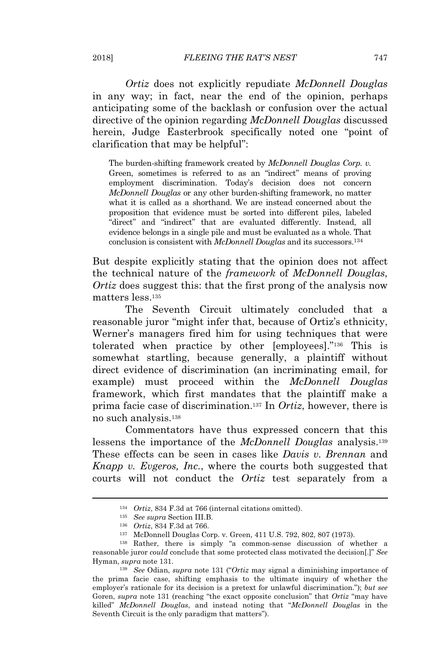*Ortiz* does not explicitly repudiate *McDonnell Douglas* in any way; in fact, near the end of the opinion, perhaps anticipating some of the backlash or confusion over the actual directive of the opinion regarding *McDonnell Douglas* discussed herein, Judge Easterbrook specifically noted one "point of clarification that may be helpful":

The burden-shifting framework created by *McDonnell Douglas Corp. v.* Green, sometimes is referred to as an "indirect" means of proving employment discrimination. Today's decision does not concern *McDonnell Douglas* or any other burden-shifting framework, no matter what it is called as a shorthand. We are instead concerned about the proposition that evidence must be sorted into different piles, labeled "direct" and "indirect" that are evaluated differently. Instead, all evidence belongs in a single pile and must be evaluated as a whole. That conclusion is consistent with *McDonnell Douglas* and its successors.<sup>134</sup>

But despite explicitly stating that the opinion does not affect the technical nature of the *framework* of *McDonnell Douglas*, *Ortiz* does suggest this: that the first prong of the analysis now matters less 135

The Seventh Circuit ultimately concluded that a reasonable juror "might infer that, because of Ortiz's ethnicity, Werner's managers fired him for using techniques that were tolerated when practice by other [employees]."<sup>136</sup> This is somewhat startling, because generally, a plaintiff without direct evidence of discrimination (an incriminating email, for example) must proceed within the *McDonnell Douglas* framework, which first mandates that the plaintiff make a prima facie case of discrimination.<sup>137</sup> In *Ortiz*, however, there is no such analysis.<sup>138</sup>

Commentators have thus expressed concern that this lessens the importance of the *McDonnell Douglas* analysis.<sup>139</sup> These effects can be seen in cases like *Davis v. Brennan* and *Knapp v. Evgeros, Inc.*, where the courts both suggested that courts will not conduct the *Ortiz* test separately from a

<sup>139</sup> *See* Odian, *supra* note 131 ("*Ortiz* may signal a diminishing importance of the prima facie case, shifting emphasis to the ultimate inquiry of whether the employer's rationale for its decision is a pretext for unlawful discrimination."); *but see* Goren, *supra* note 131 (reaching "the exact opposite conclusion" that *Ortiz* "may have killed" *McDonnell Douglas*, and instead noting that "*McDonnell Douglas* in the Seventh Circuit is the only paradigm that matters").

<sup>134</sup> *Ortiz*, 834 F.3d at 766 (internal citations omitted).

<sup>135</sup> *See supra* Section III.B.

<sup>136</sup> *Ortiz*, 834 F.3d at 766.

<sup>137</sup> McDonnell Douglas Corp. v. Green, 411 U.S. 792, 802, 807 (1973).

<sup>138</sup> Rather, there is simply "a common-sense discussion of whether a reasonable juror *could* conclude that some protected class motivated the decision[.]" *See* Hyman, *supra* note 131.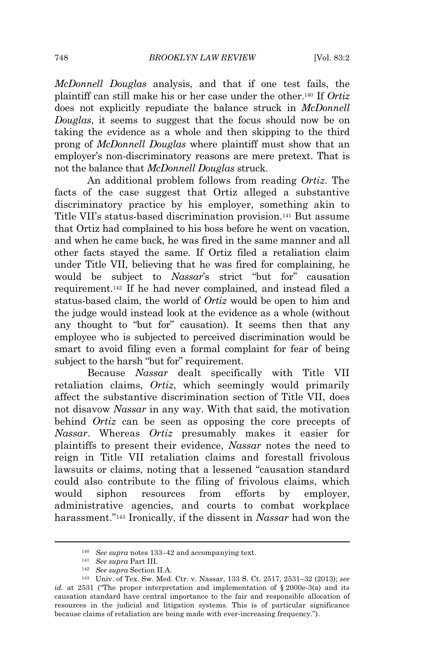*McDonnell Douglas* analysis, and that if one test fails, the plaintiff can still make his or her case under the other.<sup>140</sup> If *Ortiz* does not explicitly repudiate the balance struck in *McDonnell Douglas*, it seems to suggest that the focus should now be on taking the evidence as a whole and then skipping to the third prong of *McDonnell Douglas* where plaintiff must show that an employer's non-discriminatory reasons are mere pretext. That is not the balance that *McDonnell Douglas* struck.

An additional problem follows from reading *Ortiz*. The facts of the case suggest that Ortiz alleged a substantive discriminatory practice by his employer, something akin to Title VII's status-based discrimination provision.<sup>141</sup> But assume that Ortiz had complained to his boss before he went on vacation, and when he came back, he was fired in the same manner and all other facts stayed the same. If Ortiz filed a retaliation claim under Title VII, believing that he was fired for complaining, he would be subject to *Nassar*'s strict "but for" causation requirement.<sup>142</sup> If he had never complained, and instead filed a status-based claim, the world of *Ortiz* would be open to him and the judge would instead look at the evidence as a whole (without any thought to "but for" causation). It seems then that any employee who is subjected to perceived discrimination would be smart to avoid filing even a formal complaint for fear of being subject to the harsh "but for" requirement.

Because *Nassar* dealt specifically with Title VII retaliation claims, *Ortiz*, which seemingly would primarily affect the substantive discrimination section of Title VII, does not disavow *Nassar* in any way. With that said, the motivation behind *Ortiz* can be seen as opposing the core precepts of *Nassar*. Whereas *Ortiz* presumably makes it easier for plaintiffs to present their evidence, *Nassar* notes the need to reign in Title VII retaliation claims and forestall frivolous lawsuits or claims, noting that a lessened "causation standard could also contribute to the filing of frivolous claims, which would siphon resources from efforts by employer, administrative agencies, and courts to combat workplace harassment."<sup>143</sup> Ironically, if the dissent in *Nassar* had won the

<sup>140</sup> *See supra* notes 133–42 and accompanying text.

<sup>141</sup> *See supra* Part III.

<sup>142</sup> *See supra* Section II.A.

<sup>143</sup> Univ. of Tex. Sw. Med. Ctr. v. Nassar, 133 S. Ct. 2517, 2531–32 (2013); *see id.* at 2531 ("The proper interpretation and implementation of  $\S$  2000e-3(a) and its causation standard have central importance to the fair and responsible allocation of resources in the judicial and litigation systems. This is of particular significance because claims of retaliation are being made with ever-increasing frequency.").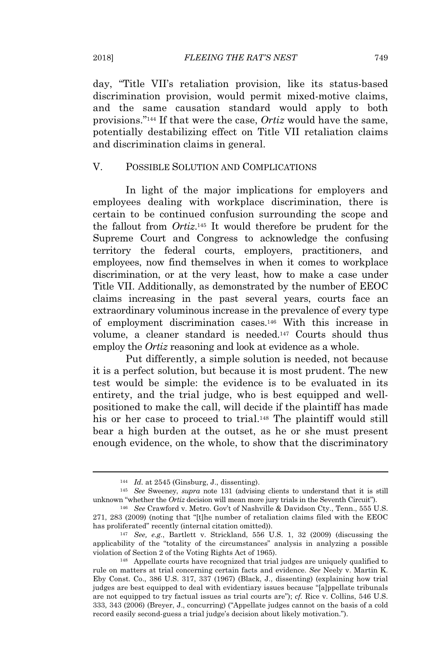day, "Title VII's retaliation provision, like its status-based discrimination provision, would permit mixed-motive claims, and the same causation standard would apply to both provisions."<sup>144</sup> If that were the case, *Ortiz* would have the same, potentially destabilizing effect on Title VII retaliation claims and discrimination claims in general.

#### V. POSSIBLE SOLUTION AND COMPLICATIONS

In light of the major implications for employers and employees dealing with workplace discrimination, there is certain to be continued confusion surrounding the scope and the fallout from *Ortiz*. <sup>145</sup> It would therefore be prudent for the Supreme Court and Congress to acknowledge the confusing territory the federal courts, employers, practitioners, and employees, now find themselves in when it comes to workplace discrimination, or at the very least, how to make a case under Title VII. Additionally, as demonstrated by the number of EEOC claims increasing in the past several years, courts face an extraordinary voluminous increase in the prevalence of every type of employment discrimination cases.<sup>146</sup> With this increase in volume, a cleaner standard is needed.<sup>147</sup> Courts should thus employ the *Ortiz* reasoning and look at evidence as a whole.

Put differently, a simple solution is needed, not because it is a perfect solution, but because it is most prudent. The new test would be simple: the evidence is to be evaluated in its entirety, and the trial judge, who is best equipped and wellpositioned to make the call, will decide if the plaintiff has made his or her case to proceed to trial.<sup>148</sup> The plaintiff would still bear a high burden at the outset, as he or she must present enough evidence, on the whole, to show that the discriminatory

<sup>144</sup> *Id.* at 2545 (Ginsburg, J., dissenting).

<sup>145</sup> *See* Sweeney, *supra* note 131 (advising clients to understand that it is still unknown "whether the *Ortiz* decision will mean more jury trials in the Seventh Circuit").

<sup>146</sup> *See* Crawford v. Metro. Gov't of Nashville & Davidson Cty., Tenn., 555 U.S. 271, 283 (2009) (noting that "[t]he number of retaliation claims filed with the EEOC has proliferated" recently (internal citation omitted)).

<sup>147</sup> *See, e.g.*, Bartlett v. Strickland, 556 U.S. 1, 32 (2009) (discussing the applicability of the "totality of the circumstances" analysis in analyzing a possible violation of Section 2 of the Voting Rights Act of 1965).

<sup>148</sup> Appellate courts have recognized that trial judges are uniquely qualified to rule on matters at trial concerning certain facts and evidence. *See* Neely v. Martin K. Eby Const. Co., 386 U.S. 317, 337 (1967) (Black, J., dissenting) (explaining how trial judges are best equipped to deal with evidentiary issues because "[a]ppellate tribunals are not equipped to try factual issues as trial courts are"); *cf.* Rice v. Collins, 546 U.S. 333, 343 (2006) (Breyer, J., concurring) ("Appellate judges cannot on the basis of a cold record easily second-guess a trial judge's decision about likely motivation.").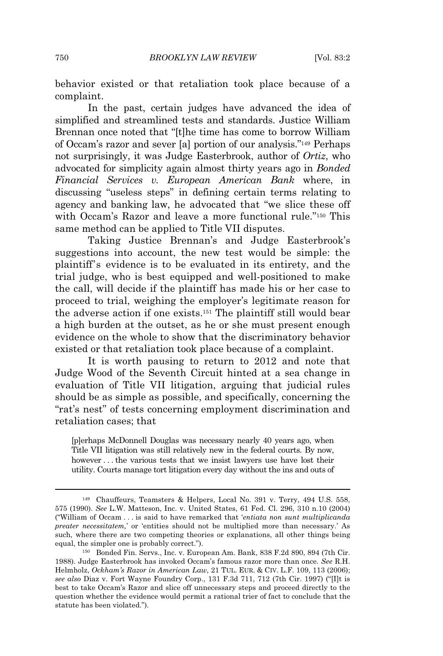behavior existed or that retaliation took place because of a complaint.

In the past, certain judges have advanced the idea of simplified and streamlined tests and standards. Justice William Brennan once noted that "[t]he time has come to borrow William of Occam's razor and sever [a] portion of our analysis."<sup>149</sup> Perhaps not surprisingly, it was Judge Easterbrook, author of *Ortiz*, who advocated for simplicity again almost thirty years ago in *Bonded Financial Services v. European American Bank* where, in discussing "useless steps" in defining certain terms relating to agency and banking law, he advocated that "we slice these off with Occam's Razor and leave a more functional rule."<sup>150</sup> This same method can be applied to Title VII disputes.

Taking Justice Brennan's and Judge Easterbrook's suggestions into account, the new test would be simple: the plaintiff's evidence is to be evaluated in its entirety, and the trial judge, who is best equipped and well-positioned to make the call, will decide if the plaintiff has made his or her case to proceed to trial, weighing the employer's legitimate reason for the adverse action if one exists.<sup>151</sup> The plaintiff still would bear a high burden at the outset, as he or she must present enough evidence on the whole to show that the discriminatory behavior existed or that retaliation took place because of a complaint.

It is worth pausing to return to 2012 and note that Judge Wood of the Seventh Circuit hinted at a sea change in evaluation of Title VII litigation, arguing that judicial rules should be as simple as possible, and specifically, concerning the "rat's nest" of tests concerning employment discrimination and retaliation cases; that

[p]erhaps McDonnell Douglas was necessary nearly 40 years ago, when Title VII litigation was still relatively new in the federal courts. By now, however . . . the various tests that we insist lawyers use have lost their utility. Courts manage tort litigation every day without the ins and outs of

<sup>149</sup> Chauffeurs, Teamsters & Helpers, Local No. 391 v. Terry, 494 U.S. 558, 575 (1990). *See* L.W. Matteson, Inc. v. United States, 61 Fed. Cl. 296, 310 n.10 (2004) ("William of Occam . . . is said to have remarked that '*entiata non sunt multiplicanda preater necessitatem,*' or 'entities should not be multiplied more than necessary.' As such, where there are two competing theories or explanations, all other things being equal, the simpler one is probably correct.").

<sup>150</sup> Bonded Fin. Servs., Inc. v. European Am. Bank, 838 F.2d 890, 894 (7th Cir. 1988). Judge Easterbrook has invoked Occam's famous razor more than once. *See* R.H. Helmholz, *Ockham's Razor in American Law*, 21 TUL. EUR. & CIV. L.F. 109, 113 (2006); *see also* Diaz v. Fort Wayne Foundry Corp., 131 F.3d 711, 712 (7th Cir. 1997) ("[I]t is best to take Occam's Razor and slice off unnecessary steps and proceed directly to the question whether the evidence would permit a rational trier of fact to conclude that the statute has been violated.").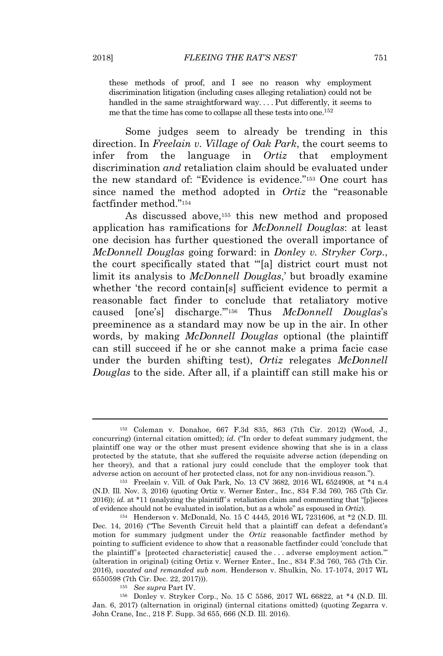these methods of proof, and I see no reason why employment discrimination litigation (including cases alleging retaliation) could not be handled in the same straightforward way....Put differently, it seems to me that the time has come to collapse all these tests into one.<sup>152</sup>

Some judges seem to already be trending in this direction. In *Freelain v. Village of Oak Park*, the court seems to infer from the language in *Ortiz* that employment discrimination *and* retaliation claim should be evaluated under the new standard of: "Evidence is evidence."<sup>153</sup> One court has since named the method adopted in *Ortiz* the "reasonable factfinder method."<sup>154</sup>

As discussed above,<sup>155</sup> this new method and proposed application has ramifications for *McDonnell Douglas*: at least one decision has further questioned the overall importance of *McDonnell Douglas* going forward: in *Donley v. Stryker Corp.*, the court specifically stated that "'[a] district court must not limit its analysis to *McDonnell Douglas*,' but broadly examine whether 'the record contain[s] sufficient evidence to permit a reasonable fact finder to conclude that retaliatory motive caused [one's] discharge.'"<sup>156</sup> Thus *McDonnell Douglas*'s preeminence as a standard may now be up in the air. In other words, by making *McDonnell Douglas* optional (the plaintiff can still succeed if he or she cannot make a prima facie case under the burden shifting test), *Ortiz* relegates *McDonnell Douglas* to the side. After all, if a plaintiff can still make his or

<sup>156</sup> Donley v. Stryker Corp., No. 15 C 5586, 2017 WL 66822, at \*4 (N.D. Ill. Jan. 6, 2017) (alternation in original) (internal citations omitted) (quoting Zegarra v. John Crane, Inc., 218 F. Supp. 3d 655, 666 (N.D. Ill. 2016).

<sup>152</sup> Coleman v. Donahoe, 667 F.3d 835, 863 (7th Cir. 2012) (Wood, J., concurring) (internal citation omitted); *id.* ("In order to defeat summary judgment, the plaintiff one way or the other must present evidence showing that she is in a class protected by the statute, that she suffered the requisite adverse action (depending on her theory), and that a rational jury could conclude that the employer took that adverse action on account of her protected class, not for any non-invidious reason.").

<sup>153</sup> Freelain v. Vill. of Oak Park, No. 13 CV 3682, 2016 WL 6524908, at \*4 n.4 (N.D. Ill. Nov. 3, 2016) (quoting Ortiz v. Werner Enter., Inc., 834 F.3d 760, 765 (7th Cir. 2016)); *id.* at \*11 (analyzing the plaintiff's retaliation claim and commenting that "[p]ieces of evidence should not be evaluated in isolation, but as a whole" as espoused in *Ortiz*).

<sup>154</sup> Henderson v. McDonald, No. 15 C 4445, 2016 WL 7231606, at \*2 (N.D. Ill. Dec. 14, 2016) ("The Seventh Circuit held that a plaintiff can defeat a defendant's motion for summary judgment under the *Ortiz* reasonable factfinder method by pointing to sufficient evidence to show that a reasonable factfinder could 'conclude that the plaintiff's [protected characteristic] caused the . . . adverse employment action.'" (alteration in original) (citing Ortiz v. Werner Enter., Inc., 834 F.3d 760, 765 (7th Cir. 2016), *vacated and remanded sub nom.* Henderson v. Shulkin, No. 17-1074, 2017 WL 6550598 (7th Cir. Dec. 22, 2017))).

<sup>155</sup> *See supra* Part IV.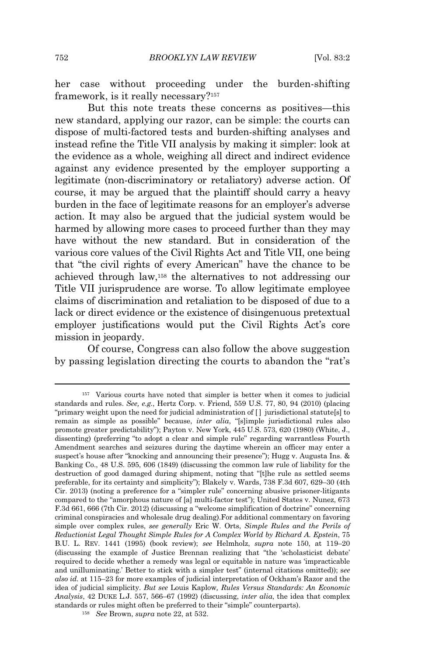her case without proceeding under the burden-shifting framework, is it really necessary?<sup>157</sup>

But this note treats these concerns as positives—this new standard, applying our razor, can be simple: the courts can dispose of multi-factored tests and burden-shifting analyses and instead refine the Title VII analysis by making it simpler: look at the evidence as a whole, weighing all direct and indirect evidence against any evidence presented by the employer supporting a legitimate (non-discriminatory or retaliatory) adverse action. Of course, it may be argued that the plaintiff should carry a heavy burden in the face of legitimate reasons for an employer's adverse action. It may also be argued that the judicial system would be harmed by allowing more cases to proceed further than they may have without the new standard. But in consideration of the various core values of the Civil Rights Act and Title VII, one being that "the civil rights of every American" have the chance to be achieved through law,<sup>158</sup> the alternatives to not addressing our Title VII jurisprudence are worse. To allow legitimate employee claims of discrimination and retaliation to be disposed of due to a lack or direct evidence or the existence of disingenuous pretextual employer justifications would put the Civil Rights Act's core mission in jeopardy.

Of course, Congress can also follow the above suggestion by passing legislation directing the courts to abandon the "rat's

<sup>157</sup> Various courts have noted that simpler is better when it comes to judicial standards and rules. *See, e.g.*, Hertz Corp. v. Friend, 559 U.S. 77, 80, 94 (2010) (placing "primary weight upon the need for judicial administration of [ ] jurisdictional statute[s] to remain as simple as possible" because, *inter alia*, "[s]imple jurisdictional rules also promote greater predictability"); Payton v. New York, 445 U.S. 573, 620 (1980) (White, J., dissenting) (preferring "to adopt a clear and simple rule" regarding warrantless Fourth Amendment searches and seizures during the daytime wherein an officer may enter a suspect's house after "knocking and announcing their presence"); Hugg v. Augusta Ins. & Banking Co., 48 U.S. 595, 606 (1849) (discussing the common law rule of liability for the destruction of good damaged during shipment, noting that "[t]he rule as settled seems preferable, for its certainty and simplicity"); Blakely v. Wards, 738 F.3d 607, 629–30 (4th Cir. 2013) (noting a preference for a "simpler rule" concerning abusive prisoner-litigants compared to the "amorphous nature of [a] multi-factor test"); United States v. Nunez, 673 F.3d 661, 666 (7th Cir. 2012) (discussing a "welcome simplification of doctrine" concerning criminal conspiracies and wholesale drug dealing).For additional commentary on favoring simple over complex rules, *see generally* Eric W. Orts, *Simple Rules and the Perils of Reductionist Legal Thought Simple Rules for A Complex World by Richard A. Epstein*, 75 B.U. L. REV. 1441 (1995) (book review); *see* Helmholz, *supra* note 150, at 119–20 (discussing the example of Justice Brennan realizing that "the 'scholasticist debate' required to decide whether a remedy was legal or equitable in nature was 'impracticable and unilluminating.' Better to stick with a simpler test" (internal citations omitted)); s*ee also id.* at 115–23 for more examples of judicial interpretation of Ockham's Razor and the idea of judicial simplicity. *But see* Louis Kaplow*, Rules Versus Standards: An Economic Analysis*, 42 DUKE L.J. 557, 566–67 (1992) (discussing, *inter alia*, the idea that complex standards or rules might often be preferred to their "simple" counterparts).

<sup>158</sup> *See* Brown, *supra* note 22, at 532.